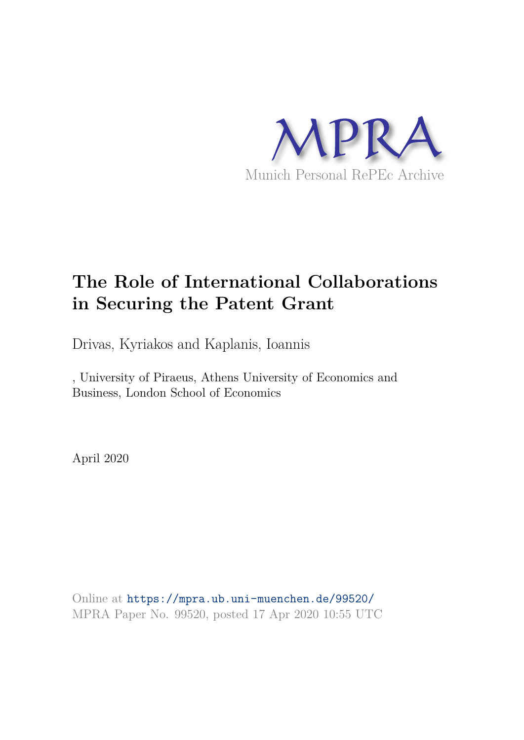

# **The Role of International Collaborations in Securing the Patent Grant**

Drivas, Kyriakos and Kaplanis, Ioannis

, University of Piraeus, Athens University of Economics and Business, London School of Economics

April 2020

Online at https://mpra.ub.uni-muenchen.de/99520/ MPRA Paper No. 99520, posted 17 Apr 2020 10:55 UTC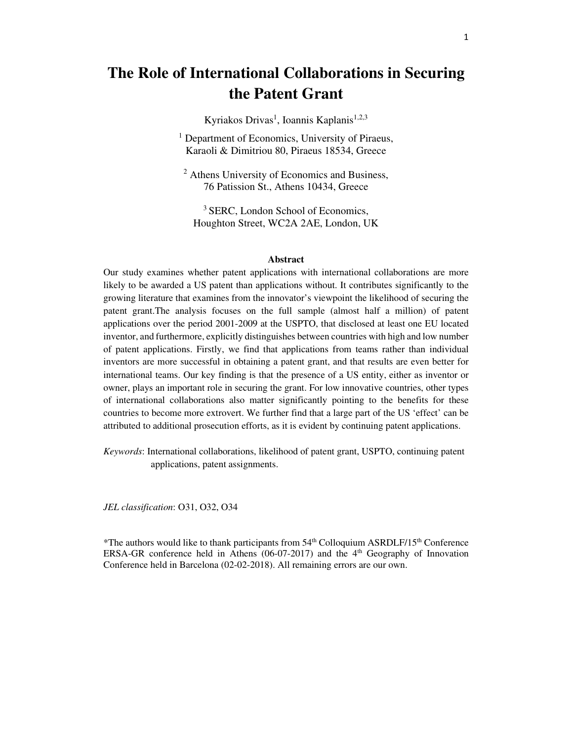## **The Role of International Collaborations in Securing the Patent Grant**

Kyriakos Drivas<sup>1</sup>, Ioannis Kaplanis<sup>1,2,3</sup>

<sup>1</sup> Department of Economics, University of Piraeus, Karaoli & Dimitriou 80, Piraeus 18534, Greece

2 Athens University of Economics and Business, 76 Patission St., Athens 10434, Greece

<sup>3</sup> SERC, London School of Economics, Houghton Street, WC2A 2AE, London, UK

#### **Abstract**

Our study examines whether patent applications with international collaborations are more likely to be awarded a US patent than applications without. It contributes significantly to the growing literature that examines from the innovator's viewpoint the likelihood of securing the patent grant.The analysis focuses on the full sample (almost half a million) of patent applications over the period 2001-2009 at the USPTO, that disclosed at least one EU located inventor, and furthermore, explicitly distinguishes between countries with high and low number of patent applications. Firstly, we find that applications from teams rather than individual inventors are more successful in obtaining a patent grant, and that results are even better for international teams. Our key finding is that the presence of a US entity, either as inventor or owner, plays an important role in securing the grant. For low innovative countries, other types of international collaborations also matter significantly pointing to the benefits for these countries to become more extrovert. We further find that a large part of the US 'effect' can be attributed to additional prosecution efforts, as it is evident by continuing patent applications.

*Keywords*: International collaborations, likelihood of patent grant, USPTO, continuing patent applications, patent assignments.

*JEL classification*: O31, O32, O34

\*The authors would like to thank participants from  $54<sup>th</sup>$  Colloquium ASRDLF/15<sup>th</sup> Conference ERSA-GR conference held in Athens  $(06-07-2017)$  and the  $4<sup>th</sup>$  Geography of Innovation Conference held in Barcelona (02-02-2018). All remaining errors are our own.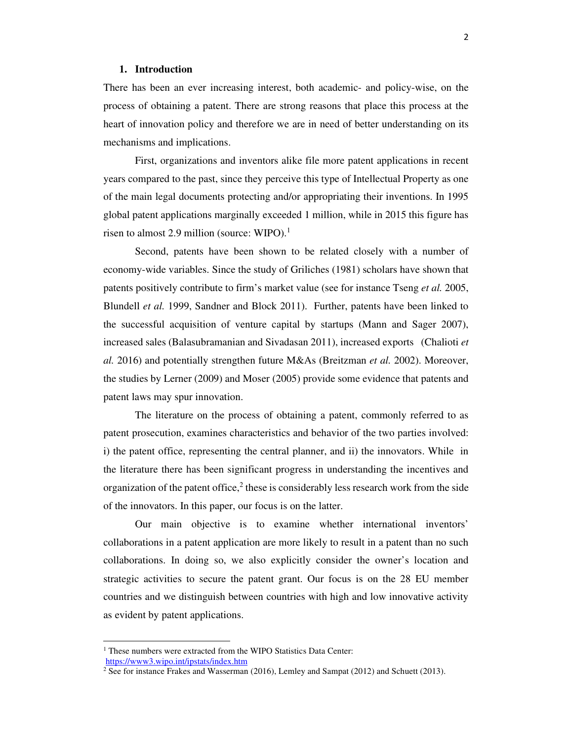### **1. Introduction**

There has been an ever increasing interest, both academic- and policy-wise, on the process of obtaining a patent. There are strong reasons that place this process at the heart of innovation policy and therefore we are in need of better understanding on its mechanisms and implications.

First, organizations and inventors alike file more patent applications in recent years compared to the past, since they perceive this type of Intellectual Property as one of the main legal documents protecting and/or appropriating their inventions. In 1995 global patent applications marginally exceeded 1 million, while in 2015 this figure has risen to almost 2.9 million (source: WIPO). $<sup>1</sup>$ </sup>

Second, patents have been shown to be related closely with a number of economy-wide variables. Since the study of Griliches (1981) scholars have shown that patents positively contribute to firm's market value (see for instance Tseng *et al.* 2005, Blundell *et al.* 1999, Sandner and Block 2011). Further, patents have been linked to the successful acquisition of venture capital by startups (Mann and Sager 2007), increased sales (Balasubramanian and Sivadasan 2011), increased exports (Chalioti *et al.* 2016) and potentially strengthen future M&As (Breitzman *et al.* 2002). Moreover, the studies by Lerner (2009) and Moser (2005) provide some evidence that patents and patent laws may spur innovation.

The literature on the process of obtaining a patent, commonly referred to as patent prosecution, examines characteristics and behavior of the two parties involved: i) the patent office, representing the central planner, and ii) the innovators. While in the literature there has been significant progress in understanding the incentives and organization of the patent office, $2$  these is considerably less research work from the side of the innovators. In this paper, our focus is on the latter.

Our main objective is to examine whether international inventors' collaborations in a patent application are more likely to result in a patent than no such collaborations. In doing so, we also explicitly consider the owner's location and strategic activities to secure the patent grant. Our focus is on the 28 EU member countries and we distinguish between countries with high and low innovative activity as evident by patent applications.

<sup>&</sup>lt;sup>1</sup> These numbers were extracted from the WIPO Statistics Data Center:

https://www3.wipo.int/ipstats/index.htm

<sup>&</sup>lt;sup>2</sup> See for instance Frakes and Wasserman (2016), Lemley and Sampat (2012) and Schuett (2013).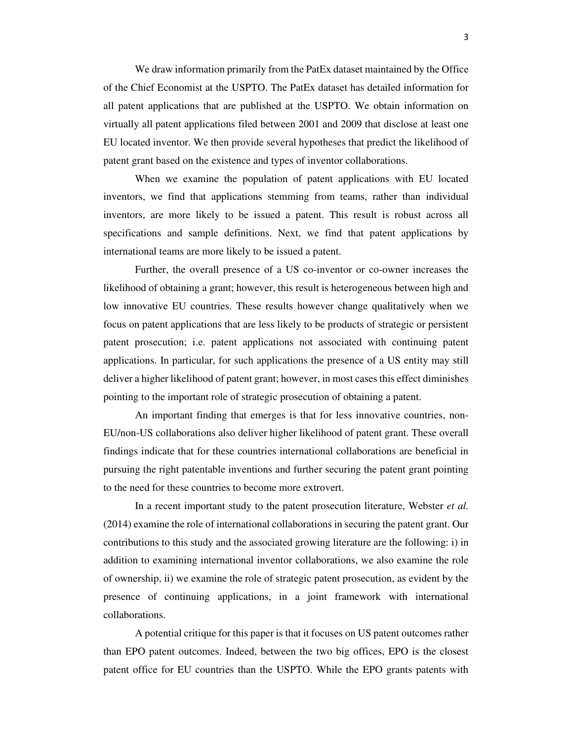We draw information primarily from the PatEx dataset maintained by the Office of the Chief Economist at the USPTO. The PatEx dataset has detailed information for all patent applications that are published at the USPTO. We obtain information on virtually all patent applications filed between 2001 and 2009 that disclose at least one EU located inventor. We then provide several hypotheses that predict the likelihood of patent grant based on the existence and types of inventor collaborations.

When we examine the population of patent applications with EU located inventors, we find that applications stemming from teams, rather than individual inventors, are more likely to be issued a patent. This result is robust across all specifications and sample definitions. Next, we find that patent applications by international teams are more likely to be issued a patent.

Further, the overall presence of a US co-inventor or co-owner increases the likelihood of obtaining a grant; however, this result is heterogeneous between high and low innovative EU countries. These results however change qualitatively when we focus on patent applications that are less likely to be products of strategic or persistent patent prosecution; i.e. patent applications not associated with continuing patent applications. In particular, for such applications the presence of a US entity may still deliver a higher likelihood of patent grant; however, in most cases this effect diminishes pointing to the important role of strategic prosecution of obtaining a patent.

An important finding that emerges is that for less innovative countries, non-EU/non-US collaborations also deliver higher likelihood of patent grant. These overall findings indicate that for these countries international collaborations are beneficial in pursuing the right patentable inventions and further securing the patent grant pointing to the need for these countries to become more extrovert.

In a recent important study to the patent prosecution literature, Webster *et al.* (2014) examine the role of international collaborations in securing the patent grant. Our contributions to this study and the associated growing literature are the following: i) in addition to examining international inventor collaborations, we also examine the role of ownership, ii) we examine the role of strategic patent prosecution, as evident by the presence of continuing applications, in a joint framework with international collaborations.

A potential critique for this paper is that it focuses on US patent outcomes rather than EPO patent outcomes. Indeed, between the two big offices, EPO is the closest patent office for EU countries than the USPTO. While the EPO grants patents with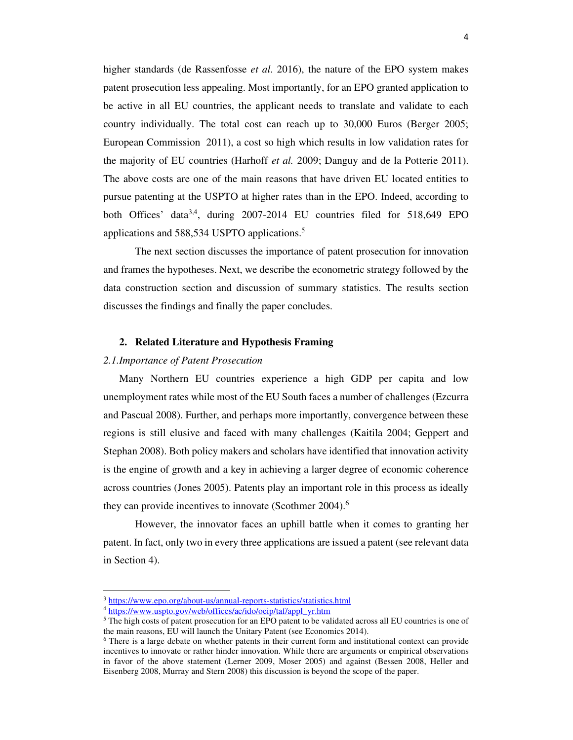higher standards (de Rassenfosse *et al*. 2016), the nature of the EPO system makes patent prosecution less appealing. Most importantly, for an EPO granted application to be active in all EU countries, the applicant needs to translate and validate to each country individually. The total cost can reach up to 30,000 Euros (Berger 2005; European Commission 2011), a cost so high which results in low validation rates for the majority of EU countries (Harhoff *et al.* 2009; Danguy and de la Potterie 2011). The above costs are one of the main reasons that have driven EU located entities to pursue patenting at the USPTO at higher rates than in the EPO. Indeed, according to both Offices' data<sup>3,4</sup>, during 2007-2014 EU countries filed for 518,649 EPO applications and 588,534 USPTO applications.<sup>5</sup>

The next section discusses the importance of patent prosecution for innovation and frames the hypotheses. Next, we describe the econometric strategy followed by the data construction section and discussion of summary statistics. The results section discusses the findings and finally the paper concludes.

### **2. Related Literature and Hypothesis Framing**

### *2.1.Importance of Patent Prosecution*

Many Northern EU countries experience a high GDP per capita and low unemployment rates while most of the EU South faces a number of challenges (Ezcurra and Pascual 2008). Further, and perhaps more importantly, convergence between these regions is still elusive and faced with many challenges (Kaitila 2004; Geppert and Stephan 2008). Both policy makers and scholars have identified that innovation activity is the engine of growth and a key in achieving a larger degree of economic coherence across countries (Jones 2005). Patents play an important role in this process as ideally they can provide incentives to innovate (Scothmer 2004).<sup>6</sup>

However, the innovator faces an uphill battle when it comes to granting her patent. In fact, only two in every three applications are issued a patent (see relevant data in Section 4).

<sup>3</sup> https://www.epo.org/about-us/annual-reports-statistics/statistics.html

<sup>&</sup>lt;sup>4</sup> https://www.uspto.gov/web/offices/ac/ido/oeip/taf/appl\_yr.htm

<sup>&</sup>lt;sup>5</sup> The high costs of patent prosecution for an EPO patent to be validated across all EU countries is one of the main reasons, EU will launch the Unitary Patent (see Economics 2014).

<sup>&</sup>lt;sup>6</sup> There is a large debate on whether patents in their current form and institutional context can provide incentives to innovate or rather hinder innovation. While there are arguments or empirical observations in favor of the above statement (Lerner 2009, Moser 2005) and against (Bessen 2008, Heller and Eisenberg 2008, Murray and Stern 2008) this discussion is beyond the scope of the paper.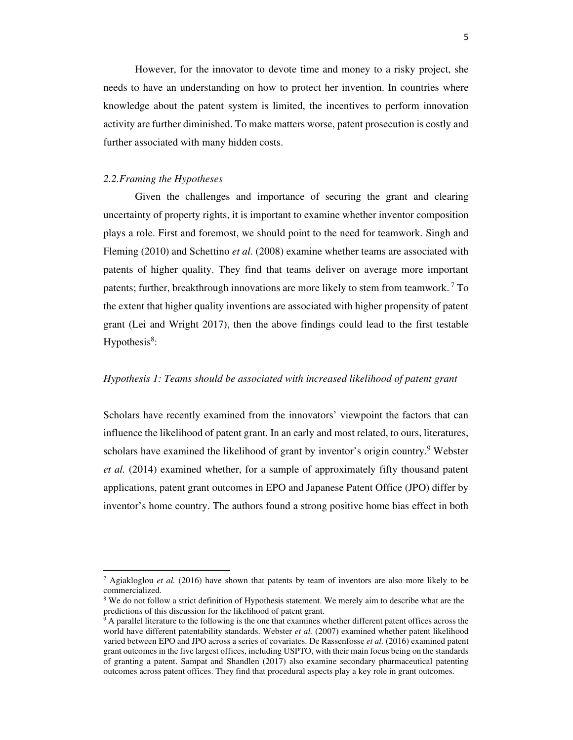However, for the innovator to devote time and money to a risky project, she needs to have an understanding on how to protect her invention. In countries where knowledge about the patent system is limited, the incentives to perform innovation activity are further diminished. To make matters worse, patent prosecution is costly and further associated with many hidden costs.

### *2.2.Framing the Hypotheses*

Given the challenges and importance of securing the grant and clearing uncertainty of property rights, it is important to examine whether inventor composition plays a role. First and foremost, we should point to the need for teamwork. Singh and Fleming (2010) and Schettino *et al.* (2008) examine whether teams are associated with patents of higher quality. They find that teams deliver on average more important patents; further, breakthrough innovations are more likely to stem from teamwork.<sup>7</sup> To the extent that higher quality inventions are associated with higher propensity of patent grant (Lei and Wright 2017), then the above findings could lead to the first testable Hypothesis $8$ :

### *Hypothesis 1: Teams should be associated with increased likelihood of patent grant*

Scholars have recently examined from the innovators' viewpoint the factors that can influence the likelihood of patent grant. In an early and most related, to ours, literatures, scholars have examined the likelihood of grant by inventor's origin country.<sup>9</sup> Webster *et al.* (2014) examined whether, for a sample of approximately fifty thousand patent applications, patent grant outcomes in EPO and Japanese Patent Office (JPO) differ by inventor's home country. The authors found a strong positive home bias effect in both

<sup>7</sup> Agiakloglou *et al.* (2016) have shown that patents by team of inventors are also more likely to be commercialized.

<sup>&</sup>lt;sup>8</sup> We do not follow a strict definition of Hypothesis statement. We merely aim to describe what are the predictions of this discussion for the likelihood of patent grant.

<sup>&</sup>lt;sup>9</sup> A parallel literature to the following is the one that examines whether different patent offices across the world have different patentability standards. Webster *et al.* (2007) examined whether patent likelihood varied between EPO and JPO across a series of covariates. De Rassenfosse *et al.* (2016) examined patent grant outcomes in the five largest offices, including USPTO, with their main focus being on the standards of granting a patent. Sampat and Shandlen (2017) also examine secondary pharmaceutical patenting outcomes across patent offices. They find that procedural aspects play a key role in grant outcomes.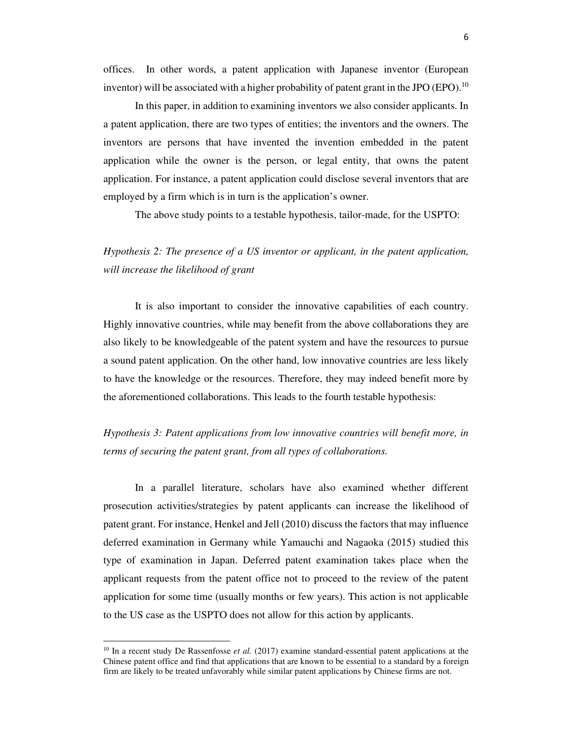offices. In other words, a patent application with Japanese inventor (European inventor) will be associated with a higher probability of patent grant in the JPO (EPO).<sup>10</sup>

In this paper, in addition to examining inventors we also consider applicants. In a patent application, there are two types of entities; the inventors and the owners. The inventors are persons that have invented the invention embedded in the patent application while the owner is the person, or legal entity, that owns the patent application. For instance, a patent application could disclose several inventors that are employed by a firm which is in turn is the application's owner.

The above study points to a testable hypothesis, tailor-made, for the USPTO:

### *Hypothesis 2: The presence of a US inventor or applicant, in the patent application, will increase the likelihood of grant*

It is also important to consider the innovative capabilities of each country. Highly innovative countries, while may benefit from the above collaborations they are also likely to be knowledgeable of the patent system and have the resources to pursue a sound patent application. On the other hand, low innovative countries are less likely to have the knowledge or the resources. Therefore, they may indeed benefit more by the aforementioned collaborations. This leads to the fourth testable hypothesis:

### *Hypothesis 3: Patent applications from low innovative countries will benefit more, in terms of securing the patent grant, from all types of collaborations.*

In a parallel literature, scholars have also examined whether different prosecution activities/strategies by patent applicants can increase the likelihood of patent grant. For instance, Henkel and Jell (2010) discuss the factors that may influence deferred examination in Germany while Yamauchi and Nagaoka (2015) studied this type of examination in Japan. Deferred patent examination takes place when the applicant requests from the patent office not to proceed to the review of the patent application for some time (usually months or few years). This action is not applicable to the US case as the USPTO does not allow for this action by applicants.

<sup>&</sup>lt;sup>10</sup> In a recent study De Rassenfosse *et al.* (2017) examine standard-essential patent applications at the Chinese patent office and find that applications that are known to be essential to a standard by a foreign firm are likely to be treated unfavorably while similar patent applications by Chinese firms are not.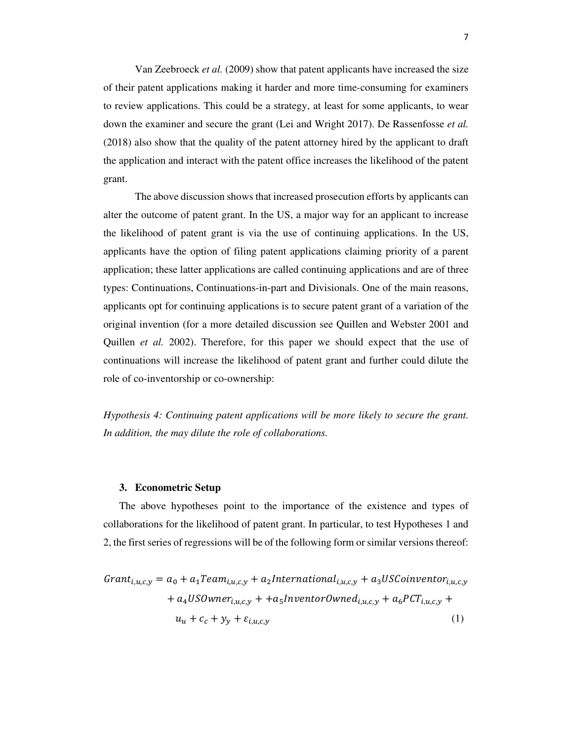Van Zeebroeck *et al.* (2009) show that patent applicants have increased the size of their patent applications making it harder and more time-consuming for examiners to review applications. This could be a strategy, at least for some applicants, to wear down the examiner and secure the grant (Lei and Wright 2017). De Rassenfosse *et al.* (2018) also show that the quality of the patent attorney hired by the applicant to draft the application and interact with the patent office increases the likelihood of the patent grant.

 The above discussion shows that increased prosecution efforts by applicants can alter the outcome of patent grant. In the US, a major way for an applicant to increase the likelihood of patent grant is via the use of continuing applications. In the US, applicants have the option of filing patent applications claiming priority of a parent application; these latter applications are called continuing applications and are of three types: Continuations, Continuations-in-part and Divisionals. One of the main reasons, applicants opt for continuing applications is to secure patent grant of a variation of the original invention (for a more detailed discussion see Quillen and Webster 2001 and Quillen *et al.* 2002). Therefore, for this paper we should expect that the use of continuations will increase the likelihood of patent grant and further could dilute the role of co-inventorship or co-ownership:

*Hypothesis 4: Continuing patent applications will be more likely to secure the grant. In addition, the may dilute the role of collaborations.* 

### **3. Econometric Setup**

The above hypotheses point to the importance of the existence and types of collaborations for the likelihood of patent grant. In particular, to test Hypotheses 1 and 2, the first series of regressions will be of the following form or similar versions thereof:

$$
Grant_{i,u,c,y} = a_0 + a_1 Team_{i,u,c,y} + a_2 International_{i,u,c,y} + a_3 USCoinventor_{i,u,c,y}
$$

$$
+ a_4 USOwner_{i,u,c,y} + a_5 InventorOwned_{i,u,c,y} + a_6 PCT_{i,u,c,y} + u_u + c_c + y_y + \varepsilon_{i,u,c,y}
$$

$$
(1)
$$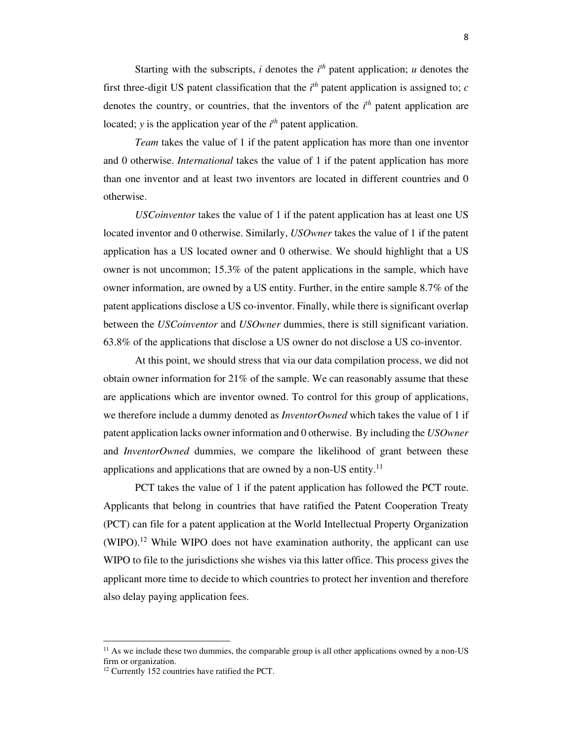Starting with the subscripts,  $i$  denotes the  $i<sup>th</sup>$  patent application;  $u$  denotes the first three-digit US patent classification that the  $i<sup>th</sup>$  patent application is assigned to; *c* denotes the country, or countries, that the inventors of the  $i<sup>th</sup>$  patent application are located; *y* is the application year of the *i*<sup>th</sup> patent application.

*Team* takes the value of 1 if the patent application has more than one inventor and 0 otherwise. *International* takes the value of 1 if the patent application has more than one inventor and at least two inventors are located in different countries and 0 otherwise.

*USCoinventor* takes the value of 1 if the patent application has at least one US located inventor and 0 otherwise. Similarly, *USOwner* takes the value of 1 if the patent application has a US located owner and 0 otherwise. We should highlight that a US owner is not uncommon; 15.3% of the patent applications in the sample, which have owner information, are owned by a US entity. Further, in the entire sample 8.7% of the patent applications disclose a US co-inventor. Finally, while there is significant overlap between the *USCoinventor* and *USOwner* dummies, there is still significant variation. 63.8% of the applications that disclose a US owner do not disclose a US co-inventor.

At this point, we should stress that via our data compilation process, we did not obtain owner information for 21% of the sample. We can reasonably assume that these are applications which are inventor owned. To control for this group of applications, we therefore include a dummy denoted as *InventorOwned* which takes the value of 1 if patent application lacks owner information and 0 otherwise. By including the *USOwner* and *InventorOwned* dummies, we compare the likelihood of grant between these applications and applications that are owned by a non-US entity.<sup>11</sup>

 PCT takes the value of 1 if the patent application has followed the PCT route. Applicants that belong in countries that have ratified the Patent Cooperation Treaty (PCT) can file for a patent application at the World Intellectual Property Organization  $(WIPO).<sup>12</sup>$  While WIPO does not have examination authority, the applicant can use WIPO to file to the jurisdictions she wishes via this latter office. This process gives the applicant more time to decide to which countries to protect her invention and therefore also delay paying application fees.

 $11$  As we include these two dummies, the comparable group is all other applications owned by a non-US firm or organization.

<sup>12</sup> Currently 152 countries have ratified the PCT.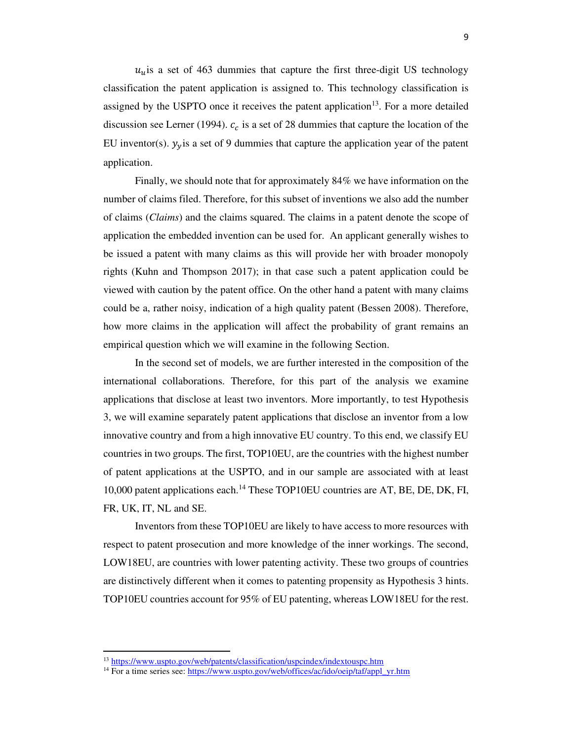$u<sub>u</sub>$  is a set of 463 dummies that capture the first three-digit US technology classification the patent application is assigned to. This technology classification is assigned by the USPTO once it receives the patent application $13$ . For a more detailed discussion see Lerner (1994).  $c_c$  is a set of 28 dummies that capture the location of the EU inventor(s).  $y_y$  is a set of 9 dummies that capture the application year of the patent application.

 Finally, we should note that for approximately 84% we have information on the number of claims filed. Therefore, for this subset of inventions we also add the number of claims (*Claims*) and the claims squared. The claims in a patent denote the scope of application the embedded invention can be used for. An applicant generally wishes to be issued a patent with many claims as this will provide her with broader monopoly rights (Kuhn and Thompson 2017); in that case such a patent application could be viewed with caution by the patent office. On the other hand a patent with many claims could be a, rather noisy, indication of a high quality patent (Bessen 2008). Therefore, how more claims in the application will affect the probability of grant remains an empirical question which we will examine in the following Section.

In the second set of models, we are further interested in the composition of the international collaborations. Therefore, for this part of the analysis we examine applications that disclose at least two inventors. More importantly, to test Hypothesis 3, we will examine separately patent applications that disclose an inventor from a low innovative country and from a high innovative EU country. To this end, we classify EU countries in two groups. The first, TOP10EU, are the countries with the highest number of patent applications at the USPTO, and in our sample are associated with at least 10,000 patent applications each.<sup>14</sup> These TOP10EU countries are AT, BE, DE, DK, FI, FR, UK, IT, NL and SE.

Inventors from these TOP10EU are likely to have access to more resources with respect to patent prosecution and more knowledge of the inner workings. The second, LOW18EU, are countries with lower patenting activity. These two groups of countries are distinctively different when it comes to patenting propensity as Hypothesis 3 hints. TOP10EU countries account for 95% of EU patenting, whereas LOW18EU for the rest.

<sup>&</sup>lt;sup>13</sup> https://www.uspto.gov/web/patents/classification/uspcindex/indextouspc.htm

<sup>&</sup>lt;sup>14</sup> For a time series see: https://www.uspto.gov/web/offices/ac/ido/oeip/taf/appl\_yr.htm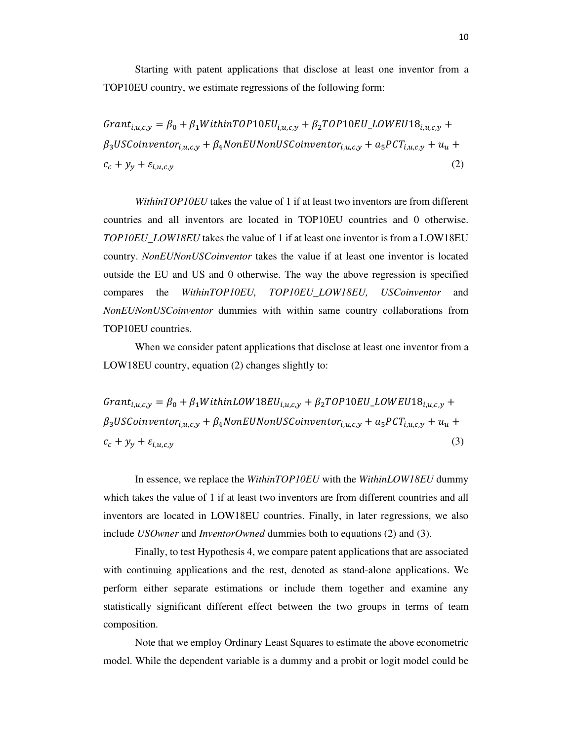Starting with patent applications that disclose at least one inventor from a TOP10EU country, we estimate regressions of the following form:

 $Grant_{i,u,c,y} = \beta_0 + \beta_1 Within TOP10EU_{i,u,c,y} + \beta_2 TOP10EU\_LOWEU18_{i,u,c,y} +$  $\beta_3USCoinventor_{i,u,c,y} + \beta_4NonEUNonUSCoinventor_{i,u,c,y} + a_5 PCT_{i,u,c,y} + u_u +$  $c_c + y_y + \varepsilon_{i,u,c,y}$  $\left( 2\right)$ 

 *WithinTOP10EU* takes the value of 1 if at least two inventors are from different countries and all inventors are located in TOP10EU countries and 0 otherwise. *TOP10EU\_LOW18EU* takes the value of 1 if at least one inventor is from a LOW18EU country. *NonEUNonUSCoinventor* takes the value if at least one inventor is located outside the EU and US and 0 otherwise. The way the above regression is specified compares the *WithinTOP10EU, TOP10EU\_LOW18EU, USCoinventor* and *NonEUNonUSCoinventor* dummies with within same country collaborations from TOP10EU countries.

 When we consider patent applications that disclose at least one inventor from a LOW18EU country, equation (2) changes slightly to:

 $Grant_{i,u,c,y} = \beta_0 + \beta_1 WithinLOW 18EU_{i,u,c,y} + \beta_2 TOP 10EU\_LOW EUI8_{i,u,c,y} +$  $\beta_3USCoinventor_{i,u,c,y} + \beta_4NonEUNonUSCoinventor_{i,u,c,y} + a_5 PCT_{i,u,c,y} + u_u +$  $c_c + y_y + \varepsilon_{i,u,c,y}$ (3)

In essence, we replace the *WithinTOP10EU* with the *WithinLOW18EU* dummy which takes the value of 1 if at least two inventors are from different countries and all inventors are located in LOW18EU countries. Finally, in later regressions, we also include *USOwner* and *InventorOwned* dummies both to equations (2) and (3).

Finally, to test Hypothesis 4, we compare patent applications that are associated with continuing applications and the rest, denoted as stand-alone applications. We perform either separate estimations or include them together and examine any statistically significant different effect between the two groups in terms of team composition.

Note that we employ Ordinary Least Squares to estimate the above econometric model. While the dependent variable is a dummy and a probit or logit model could be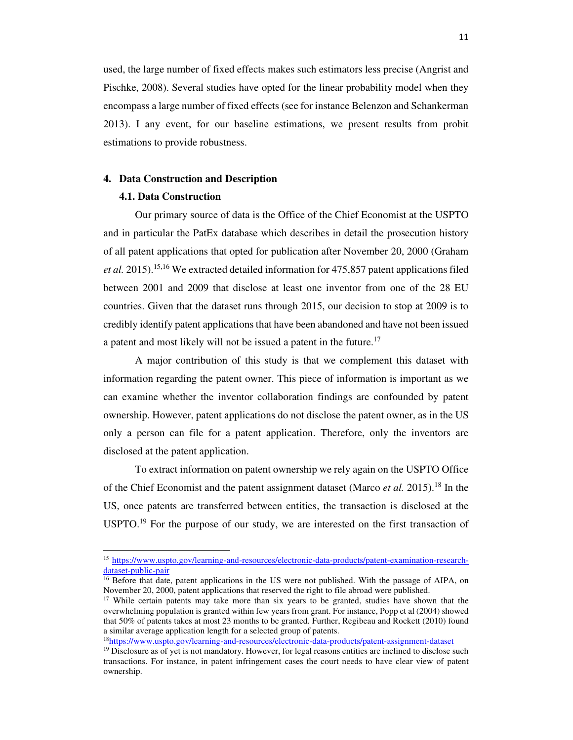used, the large number of fixed effects makes such estimators less precise (Angrist and Pischke, 2008). Several studies have opted for the linear probability model when they encompass a large number of fixed effects (see for instance Belenzon and Schankerman 2013). I any event, for our baseline estimations, we present results from probit estimations to provide robustness.

### **4. Data Construction and Description**

### **4.1. Data Construction**

Our primary source of data is the Office of the Chief Economist at the USPTO and in particular the PatEx database which describes in detail the prosecution history of all patent applications that opted for publication after November 20, 2000 (Graham *et al.* 2015).15,16 We extracted detailed information for 475,857 patent applications filed between 2001 and 2009 that disclose at least one inventor from one of the 28 EU countries. Given that the dataset runs through 2015, our decision to stop at 2009 is to credibly identify patent applications that have been abandoned and have not been issued a patent and most likely will not be issued a patent in the future.<sup>17</sup>

 A major contribution of this study is that we complement this dataset with information regarding the patent owner. This piece of information is important as we can examine whether the inventor collaboration findings are confounded by patent ownership. However, patent applications do not disclose the patent owner, as in the US only a person can file for a patent application. Therefore, only the inventors are disclosed at the patent application.

 To extract information on patent ownership we rely again on the USPTO Office of the Chief Economist and the patent assignment dataset (Marco *et al.* 2015).<sup>18</sup> In the US, once patents are transferred between entities, the transaction is disclosed at the  $USPTO.<sup>19</sup>$  For the purpose of our study, we are interested on the first transaction of

<sup>15</sup> https://www.uspto.gov/learning-and-resources/electronic-data-products/patent-examination-researchdataset-public-pair

<sup>&</sup>lt;sup>16</sup> Before that date, patent applications in the US were not published. With the passage of AIPA, on November 20, 2000, patent applications that reserved the right to file abroad were published.

<sup>&</sup>lt;sup>17</sup> While certain patents may take more than six years to be granted, studies have shown that the overwhelming population is granted within few years from grant. For instance, Popp et al (2004) showed that 50% of patents takes at most 23 months to be granted. Further, Regibeau and Rockett (2010) found a similar average application length for a selected group of patents.

<sup>18</sup>https://www.uspto.gov/learning-and-resources/electronic-data-products/patent-assignment-dataset

<sup>&</sup>lt;sup>19</sup> Disclosure as of yet is not mandatory. However, for legal reasons entities are inclined to disclose such transactions. For instance, in patent infringement cases the court needs to have clear view of patent ownership.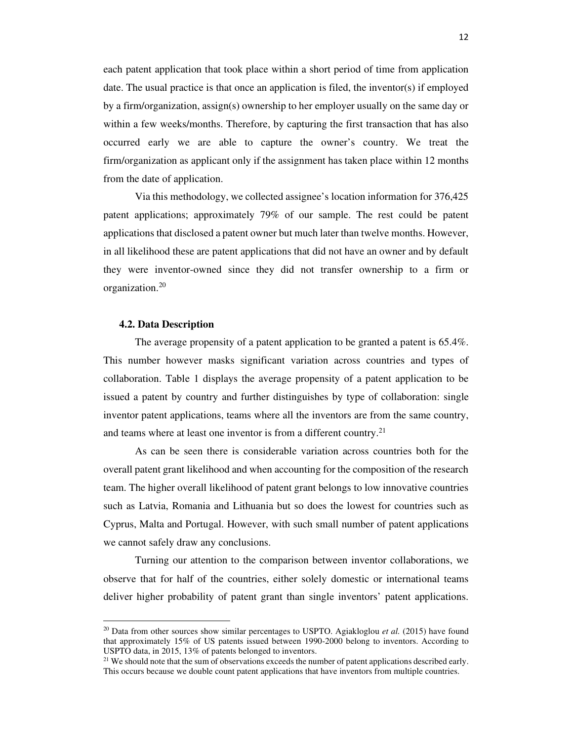each patent application that took place within a short period of time from application date. The usual practice is that once an application is filed, the inventor(s) if employed by a firm/organization, assign(s) ownership to her employer usually on the same day or within a few weeks/months. Therefore, by capturing the first transaction that has also occurred early we are able to capture the owner's country. We treat the firm/organization as applicant only if the assignment has taken place within 12 months from the date of application.

Via this methodology, we collected assignee's location information for 376,425 patent applications; approximately 79% of our sample. The rest could be patent applications that disclosed a patent owner but much later than twelve months. However, in all likelihood these are patent applications that did not have an owner and by default they were inventor-owned since they did not transfer ownership to a firm or organization.<sup>20</sup>

#### **4.2. Data Description**

The average propensity of a patent application to be granted a patent is 65.4%. This number however masks significant variation across countries and types of collaboration. Table 1 displays the average propensity of a patent application to be issued a patent by country and further distinguishes by type of collaboration: single inventor patent applications, teams where all the inventors are from the same country, and teams where at least one inventor is from a different country.<sup>21</sup>

As can be seen there is considerable variation across countries both for the overall patent grant likelihood and when accounting for the composition of the research team. The higher overall likelihood of patent grant belongs to low innovative countries such as Latvia, Romania and Lithuania but so does the lowest for countries such as Cyprus, Malta and Portugal. However, with such small number of patent applications we cannot safely draw any conclusions.

Turning our attention to the comparison between inventor collaborations, we observe that for half of the countries, either solely domestic or international teams deliver higher probability of patent grant than single inventors' patent applications.

<sup>20</sup> Data from other sources show similar percentages to USPTO. Agiakloglou *et al.* (2015) have found that approximately 15% of US patents issued between 1990-2000 belong to inventors. According to USPTO data, in 2015, 13% of patents belonged to inventors.

<sup>&</sup>lt;sup>21</sup> We should note that the sum of observations exceeds the number of patent applications described early. This occurs because we double count patent applications that have inventors from multiple countries.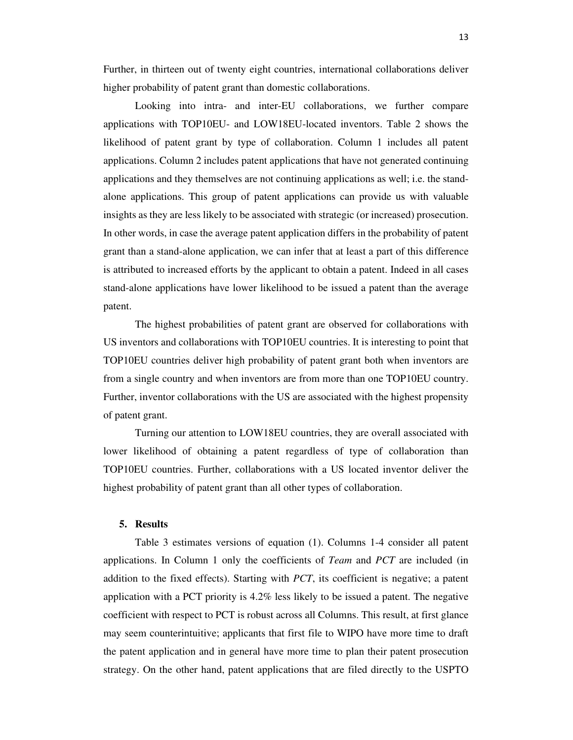Further, in thirteen out of twenty eight countries, international collaborations deliver higher probability of patent grant than domestic collaborations.

Looking into intra- and inter-EU collaborations, we further compare applications with TOP10EU- and LOW18EU-located inventors. Table 2 shows the likelihood of patent grant by type of collaboration. Column 1 includes all patent applications. Column 2 includes patent applications that have not generated continuing applications and they themselves are not continuing applications as well; i.e. the standalone applications. This group of patent applications can provide us with valuable insights as they are less likely to be associated with strategic (or increased) prosecution. In other words, in case the average patent application differs in the probability of patent grant than a stand-alone application, we can infer that at least a part of this difference is attributed to increased efforts by the applicant to obtain a patent. Indeed in all cases stand-alone applications have lower likelihood to be issued a patent than the average patent.

The highest probabilities of patent grant are observed for collaborations with US inventors and collaborations with TOP10EU countries. It is interesting to point that TOP10EU countries deliver high probability of patent grant both when inventors are from a single country and when inventors are from more than one TOP10EU country. Further, inventor collaborations with the US are associated with the highest propensity of patent grant.

Turning our attention to LOW18EU countries, they are overall associated with lower likelihood of obtaining a patent regardless of type of collaboration than TOP10EU countries. Further, collaborations with a US located inventor deliver the highest probability of patent grant than all other types of collaboration.

### **5. Results**

Table 3 estimates versions of equation (1). Columns 1-4 consider all patent applications. In Column 1 only the coefficients of *Team* and *PCT* are included (in addition to the fixed effects). Starting with *PCT*, its coefficient is negative; a patent application with a PCT priority is 4.2% less likely to be issued a patent. The negative coefficient with respect to PCT is robust across all Columns. This result, at first glance may seem counterintuitive; applicants that first file to WIPO have more time to draft the patent application and in general have more time to plan their patent prosecution strategy. On the other hand, patent applications that are filed directly to the USPTO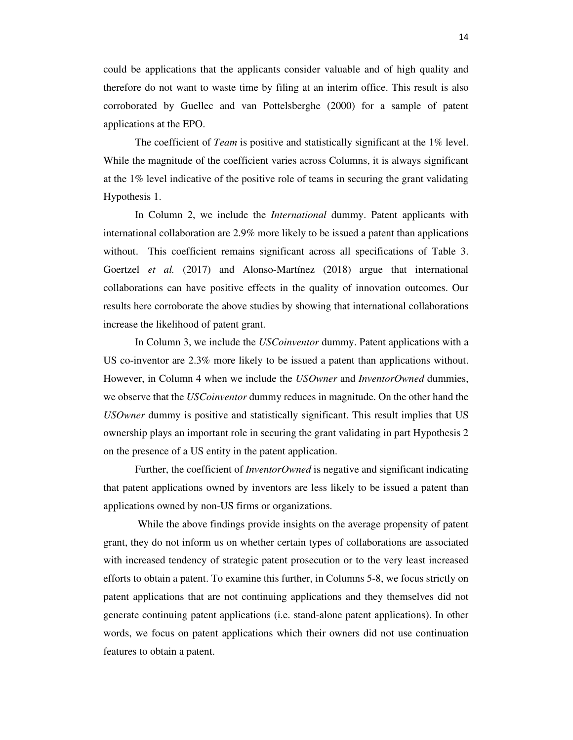could be applications that the applicants consider valuable and of high quality and therefore do not want to waste time by filing at an interim office. This result is also corroborated by Guellec and van Pottelsberghe (2000) for a sample of patent applications at the EPO.

The coefficient of *Team* is positive and statistically significant at the 1% level. While the magnitude of the coefficient varies across Columns, it is always significant at the 1% level indicative of the positive role of teams in securing the grant validating Hypothesis 1.

In Column 2, we include the *International* dummy. Patent applicants with international collaboration are 2.9% more likely to be issued a patent than applications without. This coefficient remains significant across all specifications of Table 3. Goertzel *et al.* (2017) and Alonso-Martínez (2018) argue that international collaborations can have positive effects in the quality of innovation outcomes. Our results here corroborate the above studies by showing that international collaborations increase the likelihood of patent grant.

In Column 3, we include the *USCoinventor* dummy. Patent applications with a US co-inventor are 2.3% more likely to be issued a patent than applications without. However, in Column 4 when we include the *USOwner* and *InventorOwned* dummies, we observe that the *USCoinventor* dummy reduces in magnitude. On the other hand the *USOwner* dummy is positive and statistically significant. This result implies that US ownership plays an important role in securing the grant validating in part Hypothesis 2 on the presence of a US entity in the patent application.

Further, the coefficient of *InventorOwned* is negative and significant indicating that patent applications owned by inventors are less likely to be issued a patent than applications owned by non-US firms or organizations.

 While the above findings provide insights on the average propensity of patent grant, they do not inform us on whether certain types of collaborations are associated with increased tendency of strategic patent prosecution or to the very least increased efforts to obtain a patent. To examine this further, in Columns 5-8, we focus strictly on patent applications that are not continuing applications and they themselves did not generate continuing patent applications (i.e. stand-alone patent applications). In other words, we focus on patent applications which their owners did not use continuation features to obtain a patent.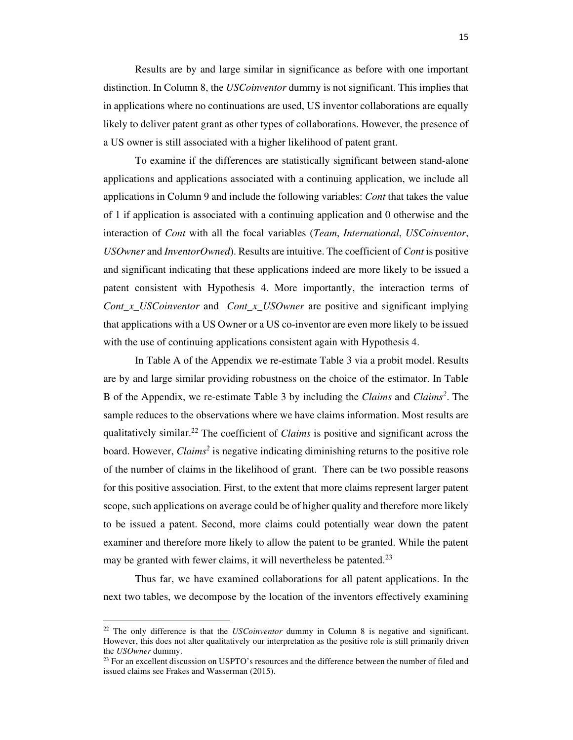Results are by and large similar in significance as before with one important distinction. In Column 8, the *USCoinventor* dummy is not significant. This implies that in applications where no continuations are used, US inventor collaborations are equally likely to deliver patent grant as other types of collaborations. However, the presence of a US owner is still associated with a higher likelihood of patent grant.

To examine if the differences are statistically significant between stand-alone applications and applications associated with a continuing application, we include all applications in Column 9 and include the following variables: *Cont* that takes the value of 1 if application is associated with a continuing application and 0 otherwise and the interaction of *Cont* with all the focal variables (*Team*, *International*, *USCoinventor*, *USOwner* and *InventorOwned*). Results are intuitive. The coefficient of *Cont* is positive and significant indicating that these applications indeed are more likely to be issued a patent consistent with Hypothesis 4. More importantly, the interaction terms of *Cont\_x\_USCoinventor* and *Cont\_x\_USOwner* are positive and significant implying that applications with a US Owner or a US co-inventor are even more likely to be issued with the use of continuing applications consistent again with Hypothesis 4.

In Table A of the Appendix we re-estimate Table 3 via a probit model. Results are by and large similar providing robustness on the choice of the estimator. In Table B of the Appendix, we re-estimate Table 3 by including the *Claims* and *Claims<sup>2</sup>* . The sample reduces to the observations where we have claims information. Most results are qualitatively similar.<sup>22</sup> The coefficient of *Claims* is positive and significant across the board. However, *Claims<sup>2</sup>* is negative indicating diminishing returns to the positive role of the number of claims in the likelihood of grant. There can be two possible reasons for this positive association. First, to the extent that more claims represent larger patent scope, such applications on average could be of higher quality and therefore more likely to be issued a patent. Second, more claims could potentially wear down the patent examiner and therefore more likely to allow the patent to be granted. While the patent may be granted with fewer claims, it will nevertheless be patented.<sup>23</sup>

Thus far, we have examined collaborations for all patent applications. In the next two tables, we decompose by the location of the inventors effectively examining

<sup>22</sup> The only difference is that the *USCoinventor* dummy in Column 8 is negative and significant. However, this does not alter qualitatively our interpretation as the positive role is still primarily driven the *USOwner* dummy.

 $23$  For an excellent discussion on USPTO's resources and the difference between the number of filed and issued claims see Frakes and Wasserman (2015).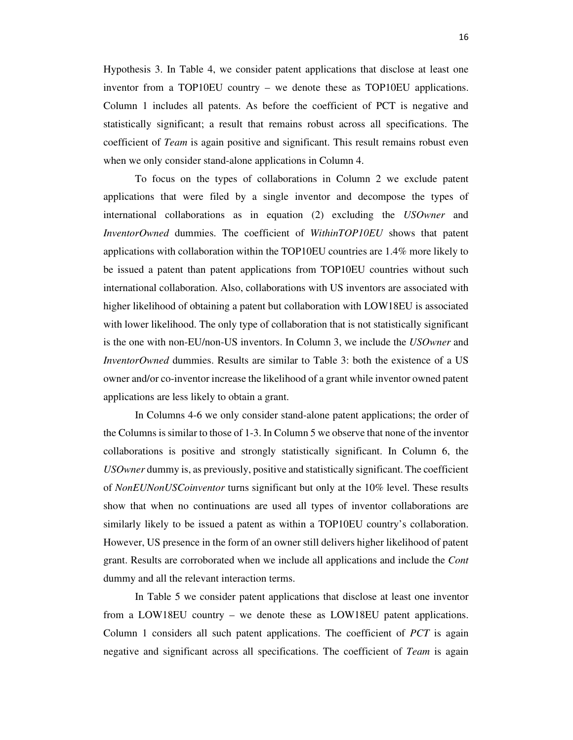Hypothesis 3. In Table 4, we consider patent applications that disclose at least one inventor from a TOP10EU country – we denote these as TOP10EU applications. Column 1 includes all patents. As before the coefficient of PCT is negative and statistically significant; a result that remains robust across all specifications. The coefficient of *Team* is again positive and significant. This result remains robust even when we only consider stand-alone applications in Column 4.

To focus on the types of collaborations in Column 2 we exclude patent applications that were filed by a single inventor and decompose the types of international collaborations as in equation (2) excluding the *USOwner* and *InventorOwned* dummies. The coefficient of *WithinTOP10EU* shows that patent applications with collaboration within the TOP10EU countries are 1.4% more likely to be issued a patent than patent applications from TOP10EU countries without such international collaboration. Also, collaborations with US inventors are associated with higher likelihood of obtaining a patent but collaboration with LOW18EU is associated with lower likelihood. The only type of collaboration that is not statistically significant is the one with non-EU/non-US inventors. In Column 3, we include the *USOwner* and *InventorOwned* dummies. Results are similar to Table 3: both the existence of a US owner and/or co-inventor increase the likelihood of a grant while inventor owned patent applications are less likely to obtain a grant.

In Columns 4-6 we only consider stand-alone patent applications; the order of the Columns is similar to those of 1-3. In Column 5 we observe that none of the inventor collaborations is positive and strongly statistically significant. In Column 6, the *USOwner* dummy is, as previously, positive and statistically significant. The coefficient of *NonEUNonUSCoinventor* turns significant but only at the 10% level. These results show that when no continuations are used all types of inventor collaborations are similarly likely to be issued a patent as within a TOP10EU country's collaboration. However, US presence in the form of an owner still delivers higher likelihood of patent grant. Results are corroborated when we include all applications and include the *Cont* dummy and all the relevant interaction terms.

In Table 5 we consider patent applications that disclose at least one inventor from a LOW18EU country – we denote these as LOW18EU patent applications. Column 1 considers all such patent applications. The coefficient of *PCT* is again negative and significant across all specifications. The coefficient of *Team* is again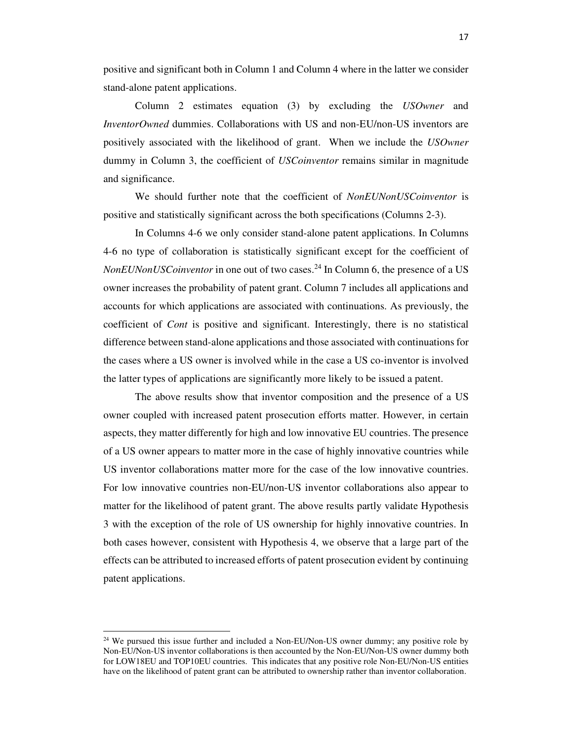positive and significant both in Column 1 and Column 4 where in the latter we consider stand-alone patent applications.

Column 2 estimates equation (3) by excluding the *USOwner* and *InventorOwned* dummies. Collaborations with US and non-EU/non-US inventors are positively associated with the likelihood of grant. When we include the *USOwner* dummy in Column 3, the coefficient of *USCoinventor* remains similar in magnitude and significance.

We should further note that the coefficient of *NonEUNonUSCoinventor* is positive and statistically significant across the both specifications (Columns 2-3).

In Columns 4-6 we only consider stand-alone patent applications. In Columns 4-6 no type of collaboration is statistically significant except for the coefficient of *NonEUNonUSCoinventor* in one out of two cases.<sup>24</sup> In Column 6, the presence of a US owner increases the probability of patent grant. Column 7 includes all applications and accounts for which applications are associated with continuations. As previously, the coefficient of *Cont* is positive and significant. Interestingly, there is no statistical difference between stand-alone applications and those associated with continuations for the cases where a US owner is involved while in the case a US co-inventor is involved the latter types of applications are significantly more likely to be issued a patent.

The above results show that inventor composition and the presence of a US owner coupled with increased patent prosecution efforts matter. However, in certain aspects, they matter differently for high and low innovative EU countries. The presence of a US owner appears to matter more in the case of highly innovative countries while US inventor collaborations matter more for the case of the low innovative countries. For low innovative countries non-EU/non-US inventor collaborations also appear to matter for the likelihood of patent grant. The above results partly validate Hypothesis 3 with the exception of the role of US ownership for highly innovative countries. In both cases however, consistent with Hypothesis 4, we observe that a large part of the effects can be attributed to increased efforts of patent prosecution evident by continuing patent applications.

<sup>&</sup>lt;sup>24</sup> We pursued this issue further and included a Non-EU/Non-US owner dummy; any positive role by Non-EU/Non-US inventor collaborations is then accounted by the Non-EU/Non-US owner dummy both for LOW18EU and TOP10EU countries. This indicates that any positive role Non-EU/Non-US entities have on the likelihood of patent grant can be attributed to ownership rather than inventor collaboration.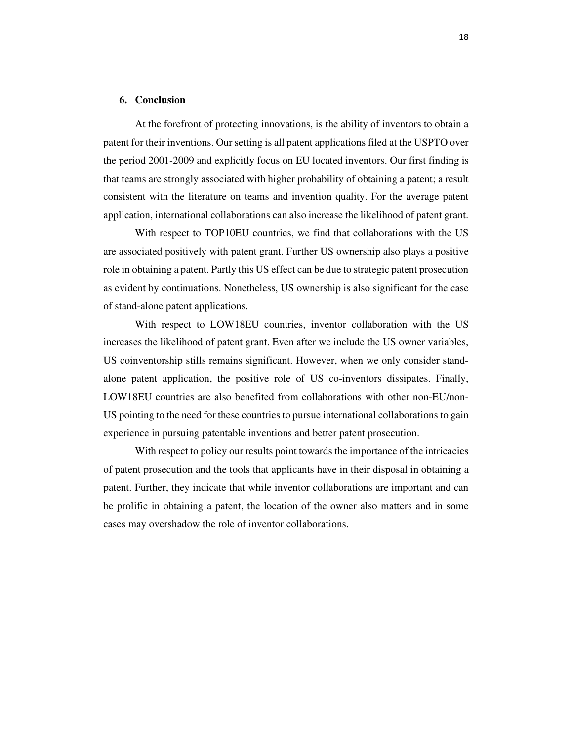### **6. Conclusion**

 At the forefront of protecting innovations, is the ability of inventors to obtain a patent for their inventions. Our setting is all patent applications filed at the USPTO over the period 2001-2009 and explicitly focus on EU located inventors. Our first finding is that teams are strongly associated with higher probability of obtaining a patent; a result consistent with the literature on teams and invention quality. For the average patent application, international collaborations can also increase the likelihood of patent grant.

With respect to TOP10EU countries, we find that collaborations with the US are associated positively with patent grant. Further US ownership also plays a positive role in obtaining a patent. Partly this US effect can be due to strategic patent prosecution as evident by continuations. Nonetheless, US ownership is also significant for the case of stand-alone patent applications.

With respect to LOW18EU countries, inventor collaboration with the US increases the likelihood of patent grant. Even after we include the US owner variables, US coinventorship stills remains significant. However, when we only consider standalone patent application, the positive role of US co-inventors dissipates. Finally, LOW18EU countries are also benefited from collaborations with other non-EU/non-US pointing to the need for these countries to pursue international collaborations to gain experience in pursuing patentable inventions and better patent prosecution.

With respect to policy our results point towards the importance of the intricacies of patent prosecution and the tools that applicants have in their disposal in obtaining a patent. Further, they indicate that while inventor collaborations are important and can be prolific in obtaining a patent, the location of the owner also matters and in some cases may overshadow the role of inventor collaborations.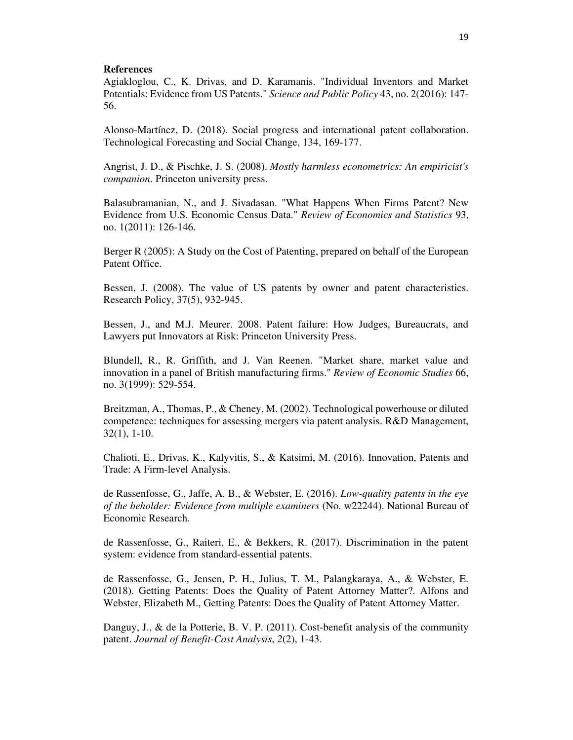### **References**

Agiakloglou, C., K. Drivas, and D. Karamanis. "Individual Inventors and Market Potentials: Evidence from US Patents." *Science and Public Policy* 43, no. 2(2016): 147- 56.

Alonso-Martínez, D. (2018). Social progress and international patent collaboration. Technological Forecasting and Social Change, 134, 169-177.

Angrist, J. D., & Pischke, J. S. (2008). *Mostly harmless econometrics: An empiricist's companion*. Princeton university press.

Balasubramanian, N., and J. Sivadasan. "What Happens When Firms Patent? New Evidence from U.S. Economic Census Data." *Review of Economics and Statistics* 93, no. 1(2011): 126-146.

Berger R (2005): A Study on the Cost of Patenting, prepared on behalf of the European Patent Office.

Bessen, J. (2008). The value of US patents by owner and patent characteristics. Research Policy, 37(5), 932-945.

Bessen, J., and M.J. Meurer. 2008. Patent failure: How Judges, Bureaucrats, and Lawyers put Innovators at Risk: Princeton University Press.

Blundell, R., R. Griffith, and J. Van Reenen. "Market share, market value and innovation in a panel of British manufacturing firms." *Review of Economic Studies* 66, no. 3(1999): 529-554.

Breitzman, A., Thomas, P., & Cheney, M. (2002). Technological powerhouse or diluted competence: techniques for assessing mergers via patent analysis. R&D Management, 32(1), 1-10.

Chalioti, E., Drivas, K., Kalyvitis, S., & Katsimi, M. (2016). Innovation, Patents and Trade: A Firm-level Analysis.

de Rassenfosse, G., Jaffe, A. B., & Webster, E. (2016). *Low-quality patents in the eye of the beholder: Evidence from multiple examiners* (No. w22244). National Bureau of Economic Research.

de Rassenfosse, G., Raiteri, E., & Bekkers, R. (2017). Discrimination in the patent system: evidence from standard-essential patents.

de Rassenfosse, G., Jensen, P. H., Julius, T. M., Palangkaraya, A., & Webster, E. (2018). Getting Patents: Does the Quality of Patent Attorney Matter?. Alfons and Webster, Elizabeth M., Getting Patents: Does the Quality of Patent Attorney Matter.

Danguy, J., & de la Potterie, B. V. P. (2011). Cost-benefit analysis of the community patent. *Journal of Benefit-Cost Analysis*, *2*(2), 1-43.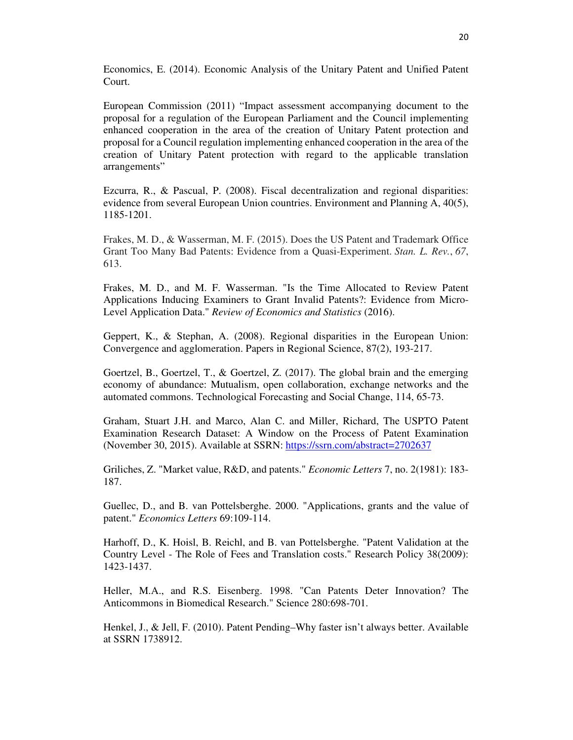Economics, E. (2014). Economic Analysis of the Unitary Patent and Unified Patent Court.

European Commission (2011) "Impact assessment accompanying document to the proposal for a regulation of the European Parliament and the Council implementing enhanced cooperation in the area of the creation of Unitary Patent protection and proposal for a Council regulation implementing enhanced cooperation in the area of the creation of Unitary Patent protection with regard to the applicable translation arrangements"

Ezcurra, R., & Pascual, P. (2008). Fiscal decentralization and regional disparities: evidence from several European Union countries. Environment and Planning A, 40(5), 1185-1201.

Frakes, M. D., & Wasserman, M. F. (2015). Does the US Patent and Trademark Office Grant Too Many Bad Patents: Evidence from a Quasi-Experiment. *Stan. L. Rev.*, *67*, 613.

Frakes, M. D., and M. F. Wasserman. "Is the Time Allocated to Review Patent Applications Inducing Examiners to Grant Invalid Patents?: Evidence from Micro-Level Application Data." *Review of Economics and Statistics* (2016).

Geppert, K., & Stephan, A. (2008). Regional disparities in the European Union: Convergence and agglomeration. Papers in Regional Science, 87(2), 193-217.

Goertzel, B., Goertzel, T., & Goertzel, Z. (2017). The global brain and the emerging economy of abundance: Mutualism, open collaboration, exchange networks and the automated commons. Technological Forecasting and Social Change, 114, 65-73.

Graham, Stuart J.H. and Marco, Alan C. and Miller, Richard, The USPTO Patent Examination Research Dataset: A Window on the Process of Patent Examination (November 30, 2015). Available at SSRN: https://ssrn.com/abstract=2702637

Griliches, Z. "Market value, R&D, and patents." *Economic Letters* 7, no. 2(1981): 183- 187.

Guellec, D., and B. van Pottelsberghe. 2000. "Applications, grants and the value of patent." *Economics Letters* 69:109-114.

Harhoff, D., K. Hoisl, B. Reichl, and B. van Pottelsberghe. "Patent Validation at the Country Level - The Role of Fees and Translation costs." Research Policy 38(2009): 1423-1437.

Heller, M.A., and R.S. Eisenberg. 1998. "Can Patents Deter Innovation? The Anticommons in Biomedical Research." Science 280:698-701.

Henkel, J., & Jell, F. (2010). Patent Pending–Why faster isn't always better. Available at SSRN 1738912.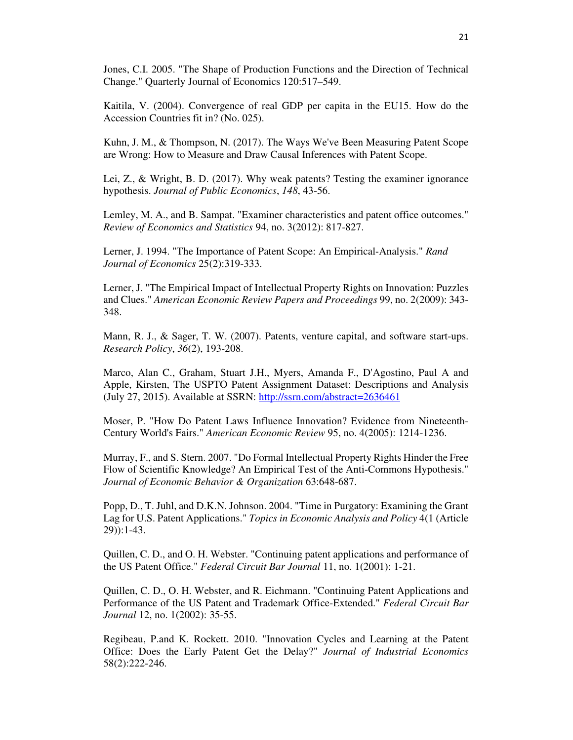Jones, C.I. 2005. "The Shape of Production Functions and the Direction of Technical Change." Quarterly Journal of Economics 120:517–549.

Kaitila, V. (2004). Convergence of real GDP per capita in the EU15. How do the Accession Countries fit in? (No. 025).

Kuhn, J. M., & Thompson, N. (2017). The Ways We've Been Measuring Patent Scope are Wrong: How to Measure and Draw Causal Inferences with Patent Scope.

Lei, Z., & Wright, B. D. (2017). Why weak patents? Testing the examiner ignorance hypothesis. *Journal of Public Economics*, *148*, 43-56.

Lemley, M. A., and B. Sampat. "Examiner characteristics and patent office outcomes." *Review of Economics and Statistics* 94, no. 3(2012): 817-827.

Lerner, J. 1994. "The Importance of Patent Scope: An Empirical-Analysis." *Rand Journal of Economics* 25(2):319-333.

Lerner, J. "The Empirical Impact of Intellectual Property Rights on Innovation: Puzzles and Clues." *American Economic Review Papers and Proceedings* 99, no. 2(2009): 343- 348.

Mann, R. J., & Sager, T. W. (2007). Patents, venture capital, and software start-ups. *Research Policy*, *36*(2), 193-208.

Marco, Alan C., Graham, Stuart J.H., Myers, Amanda F., D'Agostino, Paul A and Apple, Kirsten, The USPTO Patent Assignment Dataset: Descriptions and Analysis (July 27, 2015). Available at SSRN: http://ssrn.com/abstract=2636461

Moser, P. "How Do Patent Laws Influence Innovation? Evidence from Nineteenth-Century World's Fairs." *American Economic Review* 95, no. 4(2005): 1214-1236.

Murray, F., and S. Stern. 2007. "Do Formal Intellectual Property Rights Hinder the Free Flow of Scientific Knowledge? An Empirical Test of the Anti-Commons Hypothesis." *Journal of Economic Behavior & Organization* 63:648-687.

Popp, D., T. Juhl, and D.K.N. Johnson. 2004. "Time in Purgatory: Examining the Grant Lag for U.S. Patent Applications." *Topics in Economic Analysis and Policy* 4(1 (Article 29)):1-43.

Quillen, C. D., and O. H. Webster. "Continuing patent applications and performance of the US Patent Office." *Federal Circuit Bar Journal* 11, no. 1(2001): 1-21.

Quillen, C. D., O. H. Webster, and R. Eichmann. "Continuing Patent Applications and Performance of the US Patent and Trademark Office-Extended." *Federal Circuit Bar Journal* 12, no. 1(2002): 35-55.

Regibeau, P.and K. Rockett. 2010. "Innovation Cycles and Learning at the Patent Office: Does the Early Patent Get the Delay?" *Journal of Industrial Economics* 58(2):222-246.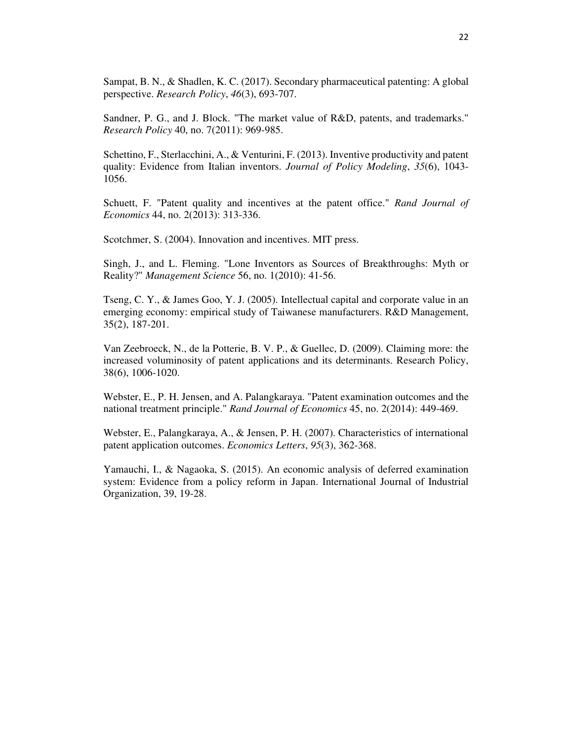Sampat, B. N., & Shadlen, K. C. (2017). Secondary pharmaceutical patenting: A global perspective. *Research Policy*, *46*(3), 693-707.

Sandner, P. G., and J. Block. "The market value of R&D, patents, and trademarks." *Research Policy* 40, no. 7(2011): 969-985.

Schettino, F., Sterlacchini, A., & Venturini, F. (2013). Inventive productivity and patent quality: Evidence from Italian inventors. *Journal of Policy Modeling*, *35*(6), 1043- 1056.

Schuett, F. "Patent quality and incentives at the patent office." *Rand Journal of Economics* 44, no. 2(2013): 313-336.

Scotchmer, S. (2004). Innovation and incentives. MIT press.

Singh, J., and L. Fleming. "Lone Inventors as Sources of Breakthroughs: Myth or Reality?" *Management Science* 56, no. 1(2010): 41-56.

Tseng, C. Y., & James Goo, Y. J. (2005). Intellectual capital and corporate value in an emerging economy: empirical study of Taiwanese manufacturers. R&D Management, 35(2), 187-201.

Van Zeebroeck, N., de la Potterie, B. V. P., & Guellec, D. (2009). Claiming more: the increased voluminosity of patent applications and its determinants. Research Policy, 38(6), 1006-1020.

Webster, E., P. H. Jensen, and A. Palangkaraya. "Patent examination outcomes and the national treatment principle." *Rand Journal of Economics* 45, no. 2(2014): 449-469.

Webster, E., Palangkaraya, A., & Jensen, P. H. (2007). Characteristics of international patent application outcomes. *Economics Letters*, *95*(3), 362-368.

Yamauchi, I., & Nagaoka, S. (2015). An economic analysis of deferred examination system: Evidence from a policy reform in Japan. International Journal of Industrial Organization, 39, 19-28.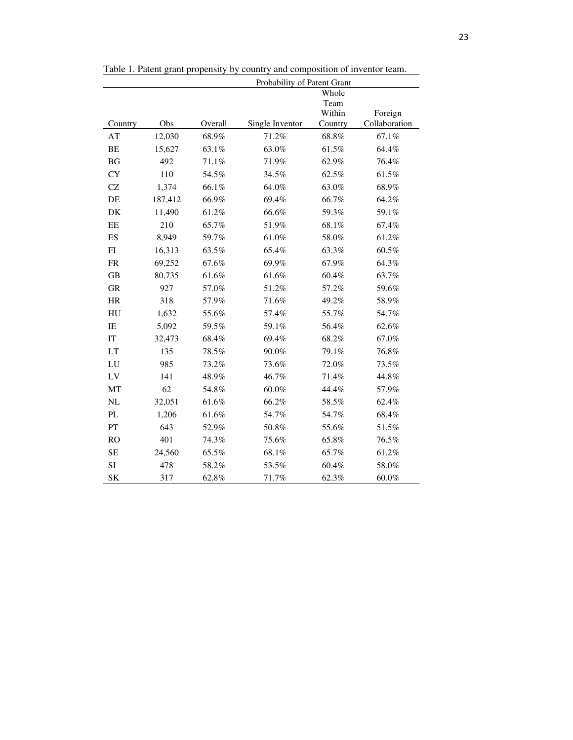|                            |         |         | Probability of Patent Grant |         |               |
|----------------------------|---------|---------|-----------------------------|---------|---------------|
|                            |         |         |                             | Whole   |               |
|                            |         |         |                             | Team    |               |
|                            |         |         |                             | Within  | Foreign       |
| Country                    | Obs     | Overall | Single Inventor             | Country | Collaboration |
| AT                         | 12,030  | 68.9%   | 71.2%                       | 68.8%   | 67.1%         |
| BE                         | 15,627  | 63.1%   | 63.0%                       | 61.5%   | 64.4%         |
| <b>BG</b>                  | 492     | 71.1%   | 71.9%                       | 62.9%   | 76.4%         |
| <b>CY</b>                  | 110     | 54.5%   | 34.5%                       | 62.5%   | 61.5%         |
| CZ                         | 1,374   | 66.1%   | 64.0%                       | 63.0%   | 68.9%         |
| DE                         | 187,412 | 66.9%   | 69.4%                       | 66.7%   | 64.2%         |
| DK                         | 11,490  | 61.2%   | 66.6%                       | 59.3%   | 59.1%         |
| EE                         | 210     | 65.7%   | 51.9%                       | 68.1%   | 67.4%         |
| ES                         | 8,949   | 59.7%   | $61.0\%$                    | 58.0%   | 61.2%         |
| ${\rm FI}$                 | 16,313  | 63.5%   | 65.4%                       | 63.3%   | 60.5%         |
| <b>FR</b>                  | 69,252  | 67.6%   | 69.9%                       | 67.9%   | 64.3%         |
| GB                         | 80,735  | 61.6%   | 61.6%                       | 60.4%   | 63.7%         |
| GR                         | 927     | 57.0%   | 51.2%                       | 57.2%   | 59.6%         |
| <b>HR</b>                  | 318     | 57.9%   | 71.6%                       | 49.2%   | 58.9%         |
| ${\rm H}{\rm U}$           | 1,632   | 55.6%   | 57.4%                       | 55.7%   | 54.7%         |
| $\rm IE$                   | 5,092   | 59.5%   | 59.1%                       | 56.4%   | 62.6%         |
| $\ensuremath{\mathsf{IT}}$ | 32,473  | 68.4%   | 69.4%                       | 68.2%   | 67.0%         |
| LT                         | 135     | 78.5%   | 90.0%                       | 79.1%   | 76.8%         |
| LU                         | 985     | 73.2%   | 73.6%                       | 72.0%   | 73.5%         |
| LV                         | 141     | 48.9%   | 46.7%                       | 71.4%   | 44.8%         |
| MT                         | 62      | 54.8%   | 60.0%                       | 44.4%   | 57.9%         |
| NL                         | 32,051  | 61.6%   | 66.2%                       | 58.5%   | 62.4%         |
| $\mathbf{PL}$              | 1,206   | 61.6%   | 54.7%                       | 54.7%   | 68.4%         |
| PT                         | 643     | 52.9%   | $50.8\%$                    | 55.6%   | 51.5%         |
| RO                         | 401     | 74.3%   | 75.6%                       | 65.8%   | 76.5%         |
| <b>SE</b>                  | 24,560  | 65.5%   | 68.1%                       | 65.7%   | 61.2%         |
| SI                         | 478     | 58.2%   | 53.5%                       | 60.4%   | 58.0%         |
| SK                         | 317     | 62.8%   | 71.7%                       | 62.3%   | 60.0%         |

Table 1. Patent grant propensity by country and composition of inventor team.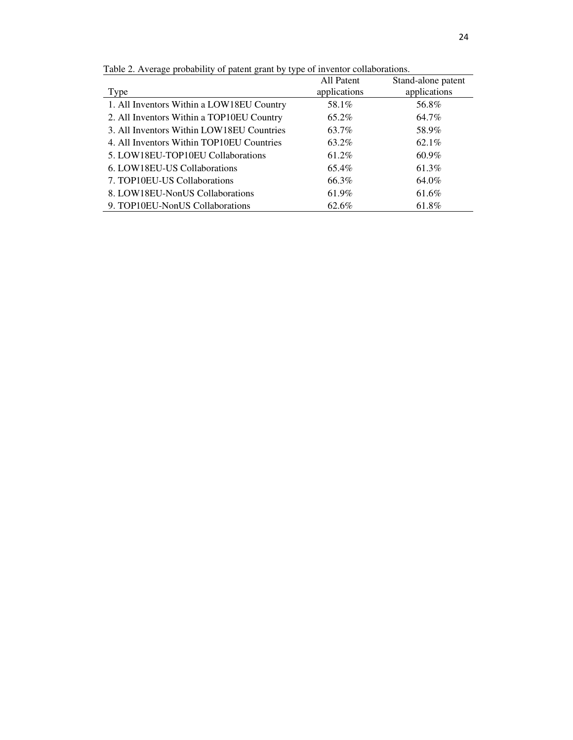| Type                                      | All Patent<br>applications | Stand-alone patent<br>applications |
|-------------------------------------------|----------------------------|------------------------------------|
| 1. All Inventors Within a LOW18EU Country | 58.1%                      | 56.8%                              |
| 2. All Inventors Within a TOP10EU Country | 65.2%                      | 64.7%                              |
| 3. All Inventors Within LOW18EU Countries | 63.7%                      | 58.9%                              |
| 4. All Inventors Within TOP10EU Countries | 63.2%                      | 62.1%                              |
| 5. LOW18EU-TOP10EU Collaborations         | 61.2%                      | 60.9%                              |
| 6. LOW18EU-US Collaborations              | 65.4%                      | 61.3%                              |
| 7. TOP10EU-US Collaborations              | 66.3%                      | 64.0%                              |

8. LOW18EU-NonUS Collaborations 61.9% 61.6% 9. TOP10EU-NonUS Collaborations 62.6% 61.8%

Table 2. Average probability of patent grant by type of inventor collaborations.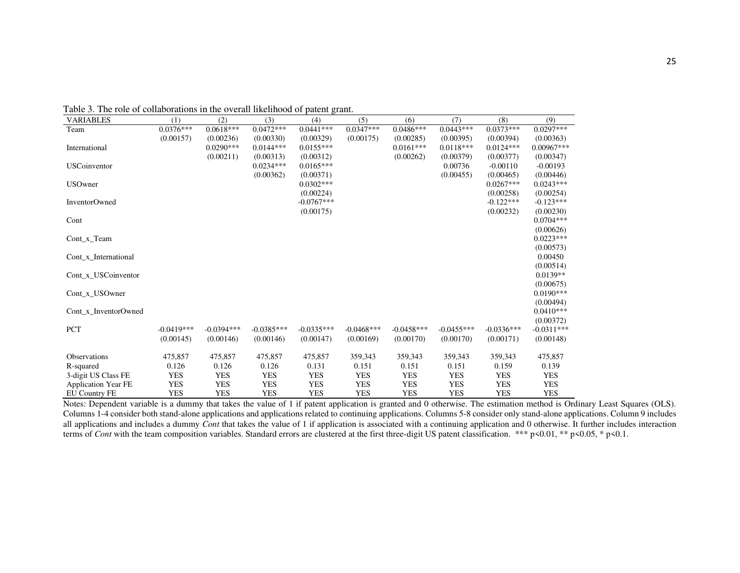| <b>VARIABLES</b>           | (1)          | (2)          | (3)          | (4)          | (5)          | (6)          | (7)          | (8)          | (9)          |
|----------------------------|--------------|--------------|--------------|--------------|--------------|--------------|--------------|--------------|--------------|
| Team                       | $0.0376***$  | $0.0618***$  | $0.0472***$  | $0.0441***$  | $0.0347***$  | $0.0486***$  | $0.0443***$  | $0.0373***$  | $0.0297***$  |
|                            | (0.00157)    | (0.00236)    | (0.00330)    | (0.00329)    | (0.00175)    | (0.00285)    | (0.00395)    | (0.00394)    | (0.00363)    |
| International              |              | $0.0290***$  | $0.0144***$  | $0.0155***$  |              | $0.0161***$  | $0.0118***$  | $0.0124***$  | $0.00967***$ |
|                            |              | (0.00211)    | (0.00313)    | (0.00312)    |              | (0.00262)    | (0.00379)    | (0.00377)    | (0.00347)    |
| <b>USCoinventor</b>        |              |              | $0.0234***$  | $0.0165***$  |              |              | 0.00736      | $-0.00110$   | $-0.00193$   |
|                            |              |              | (0.00362)    | (0.00371)    |              |              | (0.00455)    | (0.00465)    | (0.00446)    |
| <b>USOwner</b>             |              |              |              | $0.0302***$  |              |              |              | $0.0267***$  | $0.0243***$  |
|                            |              |              |              | (0.00224)    |              |              |              | (0.00258)    | (0.00254)    |
| InventorOwned              |              |              |              | $-0.0767***$ |              |              |              | $-0.122***$  | $-0.123***$  |
|                            |              |              |              | (0.00175)    |              |              |              | (0.00232)    | (0.00230)    |
| Cont                       |              |              |              |              |              |              |              |              | $0.0704***$  |
|                            |              |              |              |              |              |              |              |              | (0.00626)    |
| Cont $x$ Team              |              |              |              |              |              |              |              |              | $0.0223***$  |
|                            |              |              |              |              |              |              |              |              | (0.00573)    |
| Cont x International       |              |              |              |              |              |              |              |              | 0.00450      |
|                            |              |              |              |              |              |              |              |              | (0.00514)    |
| Cont x USCoinventor        |              |              |              |              |              |              |              |              | $0.0139**$   |
|                            |              |              |              |              |              |              |              |              | (0.00675)    |
| Cont_x_USOwner             |              |              |              |              |              |              |              |              | $0.0190***$  |
|                            |              |              |              |              |              |              |              |              | (0.00494)    |
| Cont x InventorOwned       |              |              |              |              |              |              |              |              | $0.0410***$  |
|                            |              |              |              |              |              |              |              |              | (0.00372)    |
| <b>PCT</b>                 | $-0.0419***$ | $-0.0394***$ | $-0.0385***$ | $-0.0335***$ | $-0.0468***$ | $-0.0458***$ | $-0.0455***$ | $-0.0336***$ | $-0.0311***$ |
|                            | (0.00145)    | (0.00146)    | (0.00146)    | (0.00147)    | (0.00169)    | (0.00170)    | (0.00170)    | (0.00171)    | (0.00148)    |
| <b>Observations</b>        | 475,857      | 475,857      | 475,857      | 475,857      | 359,343      | 359,343      | 359,343      | 359,343      | 475,857      |
| R-squared                  | 0.126        | 0.126        | 0.126        | 0.131        | 0.151        | 0.151        | 0.151        | 0.159        | 0.139        |
| 3-digit US Class FE        | <b>YES</b>   | <b>YES</b>   | <b>YES</b>   | <b>YES</b>   | <b>YES</b>   | <b>YES</b>   | <b>YES</b>   | <b>YES</b>   | <b>YES</b>   |
| <b>Application Year FE</b> | <b>YES</b>   | <b>YES</b>   | <b>YES</b>   | <b>YES</b>   | <b>YES</b>   | <b>YES</b>   | <b>YES</b>   | <b>YES</b>   | <b>YES</b>   |
| <b>EU Country FE</b>       | <b>YES</b>   | <b>YES</b>   | <b>YES</b>   | <b>YES</b>   | <b>YES</b>   | <b>YES</b>   | <b>YES</b>   | <b>YES</b>   | <b>YES</b>   |

Table 3. The role of collaborations in the overall likelihood of patent grant.

Notes: Dependent variable is a dummy that takes the value of 1 if patent application is granted and 0 otherwise. The estimation method is Ordinary Least Squares (OLS). Columns 1-4 consider both stand-alone applications and applications related to continuing applications. Columns 5-8 consider only stand-alone applications. Column 9 includes all applications and includes a dummy  $\overrightarrow{Cont}$  that takes the value of 1 if application is associated with a continuing application and 0 otherwise. It further includes interaction terms of *Cont* with the team composition variables. Standard errors are clustered at the first three-digit US patent classification. \*\*\* p<0.01, \*\* p<0.05, \* p<0.1.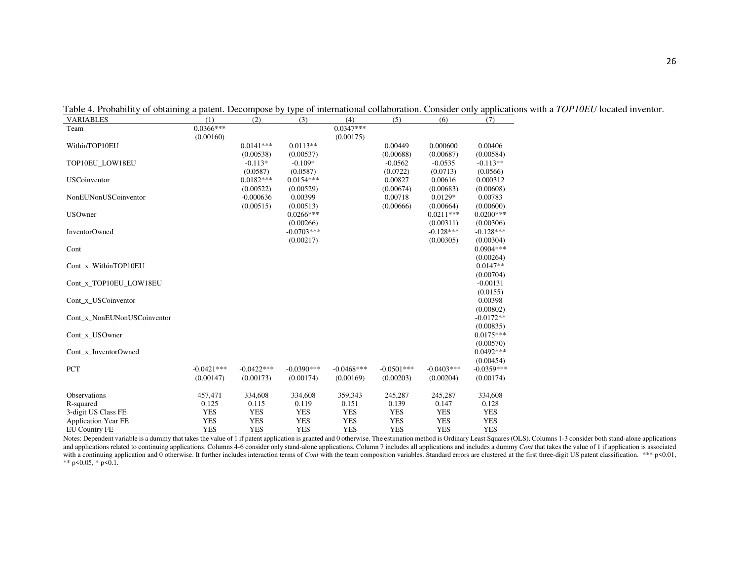| <b>VARIABLES</b>            | (1)          | (2)          | (3)          | (4)          | (5)          | (6)          | (7)          |
|-----------------------------|--------------|--------------|--------------|--------------|--------------|--------------|--------------|
| Team                        | $0.0366***$  |              |              | $0.0347***$  |              |              |              |
|                             | (0.00160)    |              |              | (0.00175)    |              |              |              |
| WithinTOP10EU               |              | $0.0141***$  | $0.0113**$   |              | 0.00449      | 0.000600     | 0.00406      |
|                             |              | (0.00538)    | (0.00537)    |              | (0.00688)    | (0.00687)    | (0.00584)    |
| TOP10EU LOW18EU             |              | $-0.113*$    | $-0.109*$    |              | $-0.0562$    | $-0.0535$    | $-0.113**$   |
|                             |              | (0.0587)     | (0.0587)     |              | (0.0722)     | (0.0713)     | (0.0566)     |
| <b>USCoinventor</b>         |              | $0.0182***$  | $0.0154***$  |              | 0.00827      | 0.00616      | 0.000312     |
|                             |              | (0.00522)    | (0.00529)    |              | (0.00674)    | (0.00683)    | (0.00608)    |
| NonEUNonUSCoinventor        |              | $-0.000636$  | 0.00399      |              | 0.00718      | $0.0129*$    | 0.00783      |
|                             |              | (0.00515)    | (0.00513)    |              | (0.00666)    | (0.00664)    | (0.00600)    |
| <b>USOwner</b>              |              |              | $0.0266***$  |              |              | $0.0211***$  | $0.0200***$  |
|                             |              |              | (0.00266)    |              |              | (0.00311)    | (0.00306)    |
| <b>InventorOwned</b>        |              |              | $-0.0703***$ |              |              | $-0.128***$  | $-0.128***$  |
|                             |              |              | (0.00217)    |              |              | (0.00305)    | (0.00304)    |
| Cont                        |              |              |              |              |              |              | $0.0904***$  |
|                             |              |              |              |              |              |              | (0.00264)    |
| Cont x WithinTOP10EU        |              |              |              |              |              |              | $0.0147**$   |
|                             |              |              |              |              |              |              | (0.00704)    |
| Cont_x_TOP10EU_LOW18EU      |              |              |              |              |              |              | $-0.00131$   |
|                             |              |              |              |              |              |              | (0.0155)     |
| Cont_x_USCoinventor         |              |              |              |              |              |              | 0.00398      |
|                             |              |              |              |              |              |              | (0.00802)    |
| Cont_x_NonEUNonUSCoinventor |              |              |              |              |              |              | $-0.0172**$  |
|                             |              |              |              |              |              |              | (0.00835)    |
| Cont_x_USOwner              |              |              |              |              |              |              | $0.0175***$  |
|                             |              |              |              |              |              |              | (0.00570)    |
| Cont_x_InventorOwned        |              |              |              |              |              |              | $0.0492***$  |
|                             |              |              |              |              |              |              | (0.00454)    |
| <b>PCT</b>                  | $-0.0421***$ | $-0.0422***$ | $-0.0390***$ | $-0.0468***$ | $-0.0501***$ | $-0.0403***$ | $-0.0359***$ |
|                             | (0.00147)    | (0.00173)    | (0.00174)    | (0.00169)    | (0.00203)    | (0.00204)    | (0.00174)    |
|                             |              |              |              |              |              |              |              |
| Observations                | 457,471      | 334,608      | 334,608      | 359,343      | 245,287      | 245,287      | 334,608      |
| R-squared                   | 0.125        | 0.115        | 0.119        | 0.151        | 0.139        | 0.147        | 0.128        |
| 3-digit US Class FE         | <b>YES</b>   | <b>YES</b>   | <b>YES</b>   | <b>YES</b>   | <b>YES</b>   | <b>YES</b>   | <b>YES</b>   |
| <b>Application Year FE</b>  | <b>YES</b>   | <b>YES</b>   | <b>YES</b>   | <b>YES</b>   | <b>YES</b>   | <b>YES</b>   | <b>YES</b>   |
| <b>EU Country FE</b>        | <b>YES</b>   | <b>YES</b>   | <b>YES</b>   | <b>YES</b>   | <b>YES</b>   | <b>YES</b>   | <b>YES</b>   |

Table 4. Probability of obtaining a patent. Decompose by type of international collaboration. Consider only applications with a *TOP10EU* located inventor.

Notes: Dependent variable is a dummy that takes the value of 1 if patent application is granted and 0 otherwise. The estimation method is Ordinary Least Squares (OLS). Columns 1-3 consider both stand-alone applications and applications related to continuing applications. Columns 4-6 consider only stand-alone applications. Column 7 includes all applications and includes a dummy Cont that takes the value of 1 if application is associated a with a continuing application and 0 otherwise. It further includes interaction terms of Cont with the team composition variables. Standard errors are clustered at the first three-digit US patent classification. \*\*\* p<0.01, \*\* p<0.05, \* p<0.1.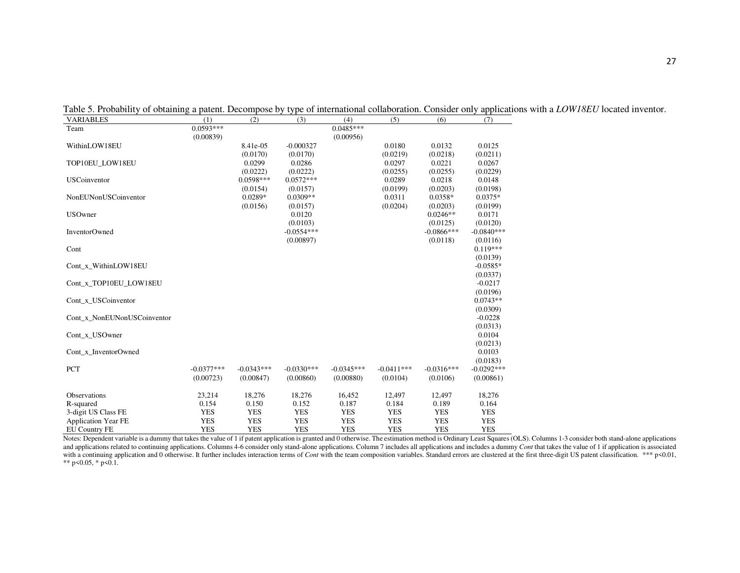| <b>VARIABLES</b>            | (1)          | (2)          | (3)          | (4)          | (5)          | (6)           | (7)          |
|-----------------------------|--------------|--------------|--------------|--------------|--------------|---------------|--------------|
| Team                        | $0.0593***$  |              |              | $0.0485***$  |              |               |              |
|                             | (0.00839)    |              |              | (0.00956)    |              |               |              |
| WithinLOW18EU               |              | 8.41e-05     | $-0.000327$  |              | 0.0180       | 0.0132        | 0.0125       |
|                             |              | (0.0170)     | (0.0170)     |              | (0.0219)     | (0.0218)      | (0.0211)     |
| TOP10EU LOW18EU             |              | 0.0299       | 0.0286       |              | 0.0297       | 0.0221        | 0.0267       |
|                             |              | (0.0222)     | (0.0222)     |              | (0.0255)     | (0.0255)      | (0.0229)     |
| <b>USCoinventor</b>         |              | 0.0598***    | $0.0572***$  |              | 0.0289       | 0.0218        | 0.0148       |
|                             |              | (0.0154)     | (0.0157)     |              | (0.0199)     | (0.0203)      | (0.0198)     |
| NonEUNonUSCoinventor        |              | $0.0289*$    | $0.0309**$   |              | 0.0311       | $0.0358*$     | $0.0375*$    |
|                             |              | (0.0156)     | (0.0157)     |              | (0.0204)     | (0.0203)      | (0.0199)     |
| <b>USOwner</b>              |              |              | 0.0120       |              |              | $0.0246**$    | 0.0171       |
|                             |              |              | (0.0103)     |              |              | (0.0125)      | (0.0120)     |
| <b>InventorOwned</b>        |              |              | $-0.0554***$ |              |              | $-0.0866$ *** | $-0.0840***$ |
|                             |              |              | (0.00897)    |              |              | (0.0118)      | (0.0116)     |
| Cont                        |              |              |              |              |              |               | $0.119***$   |
|                             |              |              |              |              |              |               | (0.0139)     |
| Cont x WithinLOW18EU        |              |              |              |              |              |               | $-0.0585*$   |
|                             |              |              |              |              |              |               | (0.0337)     |
| Cont x TOP10EU LOW18EU      |              |              |              |              |              |               | $-0.0217$    |
|                             |              |              |              |              |              |               | (0.0196)     |
| Cont_x_USCoinventor         |              |              |              |              |              |               | $0.0743**$   |
|                             |              |              |              |              |              |               | (0.0309)     |
| Cont_x_NonEUNonUSCoinventor |              |              |              |              |              |               | $-0.0228$    |
|                             |              |              |              |              |              |               | (0.0313)     |
| Cont x USOwner              |              |              |              |              |              |               | 0.0104       |
|                             |              |              |              |              |              |               | (0.0213)     |
| Cont x InventorOwned        |              |              |              |              |              |               | 0.0103       |
|                             |              |              |              |              |              |               | (0.0183)     |
| <b>PCT</b>                  | $-0.0377***$ | $-0.0343***$ | $-0.0330***$ | $-0.0345***$ | $-0.0411***$ | $-0.0316***$  | $-0.0292***$ |
|                             | (0.00723)    | (0.00847)    | (0.00860)    | (0.00880)    | (0.0104)     | (0.0106)      | (0.00861)    |
|                             |              |              |              |              |              |               |              |
| Observations                | 23,214       | 18,276       | 18,276       | 16,452       | 12,497       | 12,497        | 18,276       |
| R-squared                   | 0.154        | 0.150        | 0.152        | 0.187        | 0.184        | 0.189         | 0.164        |
| 3-digit US Class FE         | <b>YES</b>   | <b>YES</b>   | <b>YES</b>   | <b>YES</b>   | <b>YES</b>   | <b>YES</b>    | <b>YES</b>   |
| <b>Application Year FE</b>  | <b>YES</b>   | <b>YES</b>   | <b>YES</b>   | <b>YES</b>   | <b>YES</b>   | <b>YES</b>    | <b>YES</b>   |
| <b>EU Country FE</b>        | <b>YES</b>   | <b>YES</b>   | <b>YES</b>   | <b>YES</b>   | <b>YES</b>   | <b>YES</b>    | <b>YES</b>   |

Table 5. Probability of obtaining a patent. Decompose by type of international collaboration. Consider only applications with a *LOW18EU* located inventor.

Notes: Dependent variable is a dummy that takes the value of 1 if patent application is granted and 0 otherwise. The estimation method is Ordinary Least Squares (OLS). Columns 1-3 consider both stand-alone applications and applications related to continuing applications. Columns 4-6 consider only stand-alone applications. Column 7 includes all applications and includes a dummy Cont that takes the value of 1 if application is associated a with a continuing application and 0 otherwise. It further includes interaction terms of Cont with the team composition variables. Standard errors are clustered at the first three-digit US patent classification. \*\*\* p<0.01, \*\* p<0.05, \* p<0.1.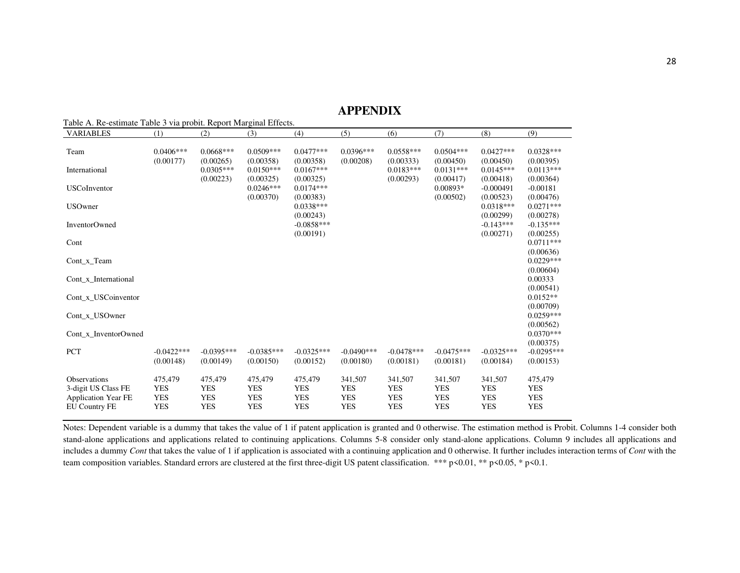### **APPENDIX**

| Table A. Re-estimate Table 3 via probit. Report Marginal Effects.<br><b>VARIABLES</b> | (1)          | (2)          | (3)          | (4)                       | (5)          | (6)          | (7)          | (8)                      | (9)                       |
|---------------------------------------------------------------------------------------|--------------|--------------|--------------|---------------------------|--------------|--------------|--------------|--------------------------|---------------------------|
|                                                                                       |              |              |              |                           |              |              |              |                          |                           |
| Team                                                                                  | $0.0406***$  | $0.0668***$  | $0.0509***$  | $0.0477***$               | $0.0396***$  | $0.0558***$  | $0.0504***$  | $0.0427***$              | $0.0328***$               |
|                                                                                       | (0.00177)    | (0.00265)    | (0.00358)    | (0.00358)                 | (0.00208)    | (0.00333)    | (0.00450)    | (0.00450)                | (0.00395)                 |
| International                                                                         |              | $0.0305***$  | $0.0150***$  | $0.0167***$               |              | $0.0183***$  | $0.0131***$  | $0.0145***$              | $0.0113***$               |
|                                                                                       |              | (0.00223)    | (0.00325)    | (0.00325)                 |              | (0.00293)    | (0.00417)    | (0.00418)                | (0.00364)                 |
| <b>USCoInventor</b>                                                                   |              |              | $0.0246***$  | $0.0174***$               |              |              | $0.00893*$   | $-0.000491$              | $-0.00181$                |
|                                                                                       |              |              | (0.00370)    | (0.00383)                 |              |              | (0.00502)    | (0.00523)                | (0.00476)                 |
| <b>USOwner</b>                                                                        |              |              |              | $0.0338***$               |              |              |              | $0.0318***$              | $0.0271***$               |
|                                                                                       |              |              |              | (0.00243)<br>$-0.0858***$ |              |              |              | (0.00299)<br>$-0.143***$ | (0.00278)<br>$-0.135***$  |
| <b>InventorOwned</b>                                                                  |              |              |              | (0.00191)                 |              |              |              | (0.00271)                | (0.00255)                 |
| Cont                                                                                  |              |              |              |                           |              |              |              |                          | $0.0711***$               |
|                                                                                       |              |              |              |                           |              |              |              |                          | (0.00636)                 |
| Cont x Team                                                                           |              |              |              |                           |              |              |              |                          | $0.0229***$               |
|                                                                                       |              |              |              |                           |              |              |              |                          | (0.00604)                 |
| Cont x International                                                                  |              |              |              |                           |              |              |              |                          | 0.00333                   |
|                                                                                       |              |              |              |                           |              |              |              |                          | (0.00541)                 |
| Cont x USCoinventor                                                                   |              |              |              |                           |              |              |              |                          | $0.0152**$                |
|                                                                                       |              |              |              |                           |              |              |              |                          | (0.00709)                 |
| Cont x USOwner                                                                        |              |              |              |                           |              |              |              |                          | $0.0259***$               |
|                                                                                       |              |              |              |                           |              |              |              |                          | (0.00562)                 |
| Cont x InventorOwned                                                                  |              |              |              |                           |              |              |              |                          | $0.0370***$               |
| PCT                                                                                   | $-0.0422***$ | $-0.0395***$ | $-0.0385***$ | $-0.0325***$              | $-0.0490***$ | $-0.0478***$ | $-0.0475***$ | $-0.0325***$             | (0.00375)<br>$-0.0295***$ |
|                                                                                       | (0.00148)    | (0.00149)    | (0.00150)    | (0.00152)                 | (0.00180)    | (0.00181)    | (0.00181)    | (0.00184)                | (0.00153)                 |
|                                                                                       |              |              |              |                           |              |              |              |                          |                           |
| <b>Observations</b>                                                                   | 475,479      | 475,479      | 475,479      | 475,479                   | 341,507      | 341,507      | 341,507      | 341,507                  | 475,479                   |
| 3-digit US Class FE                                                                   | <b>YES</b>   | <b>YES</b>   | <b>YES</b>   | <b>YES</b>                | <b>YES</b>   | <b>YES</b>   | <b>YES</b>   | <b>YES</b>               | <b>YES</b>                |
| <b>Application Year FE</b>                                                            | <b>YES</b>   | <b>YES</b>   | <b>YES</b>   | <b>YES</b>                | <b>YES</b>   | <b>YES</b>   | <b>YES</b>   | <b>YES</b>               | <b>YES</b>                |
| <b>EU Country FE</b>                                                                  | <b>YES</b>   | <b>YES</b>   | <b>YES</b>   | <b>YES</b>                | <b>YES</b>   | <b>YES</b>   | <b>YES</b>   | <b>YES</b>               | <b>YES</b>                |

Notes: Dependent variable is a dummy that takes the value of 1 if patent application is granted and 0 otherwise. The estimation method is Probit. Columns 1-4 consider both stand-alone applications and applications related to continuing applications. Columns 5-8 consider only stand-alone applications. Column 9 includes all applications and includes a dummy *Cont* that takes the value of 1 if application is associated with a continuing application and 0 otherwise. It further includes interaction terms of *Cont* with the team composition variables. Standard errors are clustered at the first three-digit US patent classification. \*\*\* p<0.01, \*\* p<0.05, \* p<0.1.